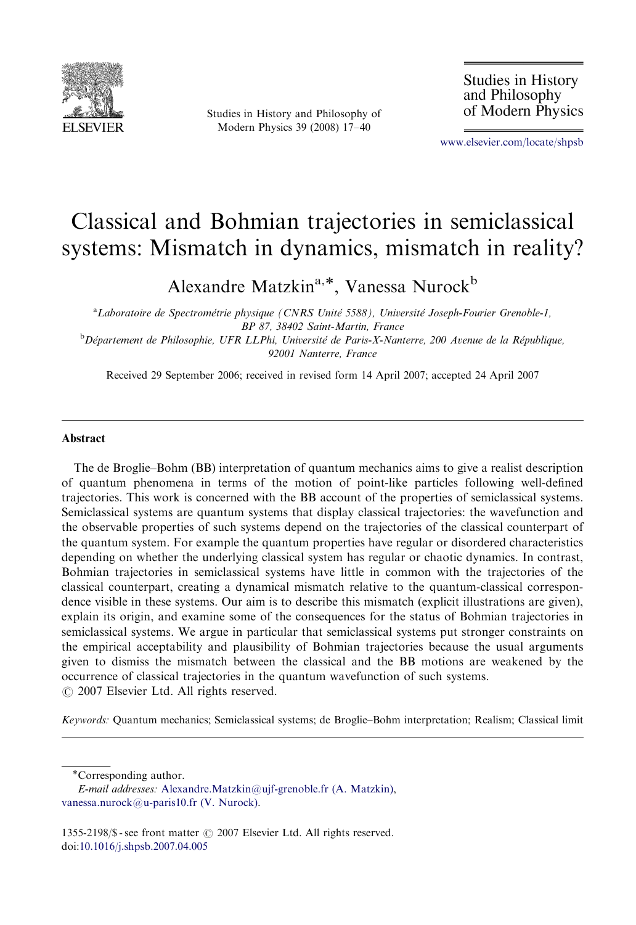

Studies in History and Philosophy of Modern Physics 39 (2008) 17–40

**Studies in History** and Philosophy of Modern Physics

<www.elsevier.com/locate/shpsb>

# Classical and Bohmian trajectories in semiclassical systems: Mismatch in dynamics, mismatch in reality?

Alexandre Matzkin<sup>a,\*</sup>, Vanessa Nurock<sup>b</sup>

<sup>a</sup>Laboratoire de Spectrométrie physique (CNRS Unité 5588), Université Joseph-Fourier Grenoble-1, BP 87, 38402 Saint-Martin, France

<sup>b</sup> Département de Philosophie, UFR LLPhi, Université de Paris-X-Nanterre, 200 Avenue de la République, 92001 Nanterre, France

Received 29 September 2006; received in revised form 14 April 2007; accepted 24 April 2007

#### Abstract

The de Broglie–Bohm (BB) interpretation of quantum mechanics aims to give a realist description of quantum phenomena in terms of the motion of point-like particles following well-defined trajectories. This work is concerned with the BB account of the properties of semiclassical systems. Semiclassical systems are quantum systems that display classical trajectories: the wavefunction and the observable properties of such systems depend on the trajectories of the classical counterpart of the quantum system. For example the quantum properties have regular or disordered characteristics depending on whether the underlying classical system has regular or chaotic dynamics. In contrast, Bohmian trajectories in semiclassical systems have little in common with the trajectories of the classical counterpart, creating a dynamical mismatch relative to the quantum-classical correspondence visible in these systems. Our aim is to describe this mismatch (explicit illustrations are given), explain its origin, and examine some of the consequences for the status of Bohmian trajectories in semiclassical systems. We argue in particular that semiclassical systems put stronger constraints on the empirical acceptability and plausibility of Bohmian trajectories because the usual arguments given to dismiss the mismatch between the classical and the BB motions are weakened by the occurrence of classical trajectories in the quantum wavefunction of such systems.  $\odot$  2007 Elsevier Ltd. All rights reserved.

Keywords: Quantum mechanics; Semiclassical systems; de Broglie–Bohm interpretation; Realism; Classical limit

-Corresponding author.

E-mail addresses: [Alexandre.Matzkin@ujf-grenoble.fr \(A. Matzkin\),](mailto:Alexandre.Matzkin@ujf-grenoble.fr) [vanessa.nurock@u-paris10.fr \(V. Nurock\).](mailto:vanessa.nurock@u-paris10.fr)

<sup>1355-2198/\$ -</sup> see front matter  $\odot$  2007 Elsevier Ltd. All rights reserved. doi[:10.1016/j.shpsb.2007.04.005](dx.doi.org/10.1016/j.shpsb.2007.04.005)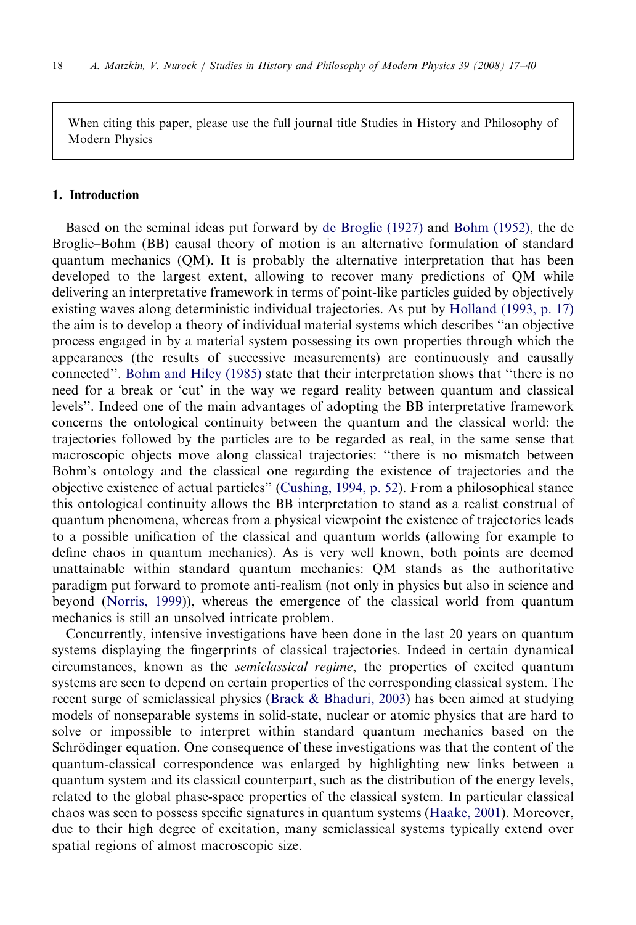When citing this paper, please use the full journal title Studies in History and Philosophy of Modern Physics

## 1. Introduction

Based on the seminal ideas put forward by [de Broglie \(1927\)](#page-22-0) and [Bohm \(1952\),](#page-22-0) the de Broglie–Bohm (BB) causal theory of motion is an alternative formulation of standard quantum mechanics (QM). It is probably the alternative interpretation that has been developed to the largest extent, allowing to recover many predictions of QM while delivering an interpretative framework in terms of point-like particles guided by objectively existing waves along deterministic individual trajectories. As put by [Holland \(1993, p. 17\)](#page-23-0) the aim is to develop a theory of individual material systems which describes ''an objective process engaged in by a material system possessing its own properties through which the appearances (the results of successive measurements) are continuously and causally connected''. [Bohm and Hiley \(1985\)](#page-22-0) state that their interpretation shows that ''there is no need for a break or 'cut' in the way we regard reality between quantum and classical levels''. Indeed one of the main advantages of adopting the BB interpretative framework concerns the ontological continuity between the quantum and the classical world: the trajectories followed by the particles are to be regarded as real, in the same sense that macroscopic objects move along classical trajectories: ''there is no mismatch between Bohm's ontology and the classical one regarding the existence of trajectories and the objective existence of actual particles'' [\(Cushing, 1994, p. 52](#page-22-0)). From a philosophical stance this ontological continuity allows the BB interpretation to stand as a realist construal of quantum phenomena, whereas from a physical viewpoint the existence of trajectories leads to a possible unification of the classical and quantum worlds (allowing for example to define chaos in quantum mechanics). As is very well known, both points are deemed unattainable within standard quantum mechanics: QM stands as the authoritative paradigm put forward to promote anti-realism (not only in physics but also in science and beyond [\(Norris, 1999](#page-23-0))), whereas the emergence of the classical world from quantum mechanics is still an unsolved intricate problem.

Concurrently, intensive investigations have been done in the last 20 years on quantum systems displaying the fingerprints of classical trajectories. Indeed in certain dynamical circumstances, known as the semiclassical regime, the properties of excited quantum systems are seen to depend on certain properties of the corresponding classical system. The recent surge of semiclassical physics ([Brack](#page-22-0) [& Bhaduri, 2003\)](#page-22-0) has been aimed at studying models of nonseparable systems in solid-state, nuclear or atomic physics that are hard to solve or impossible to interpret within standard quantum mechanics based on the Schrödinger equation. One consequence of these investigations was that the content of the quantum-classical correspondence was enlarged by highlighting new links between a quantum system and its classical counterpart, such as the distribution of the energy levels, related to the global phase-space properties of the classical system. In particular classical chaos was seen to possess specific signatures in quantum systems ([Haake, 2001\)](#page-22-0). Moreover, due to their high degree of excitation, many semiclassical systems typically extend over spatial regions of almost macroscopic size.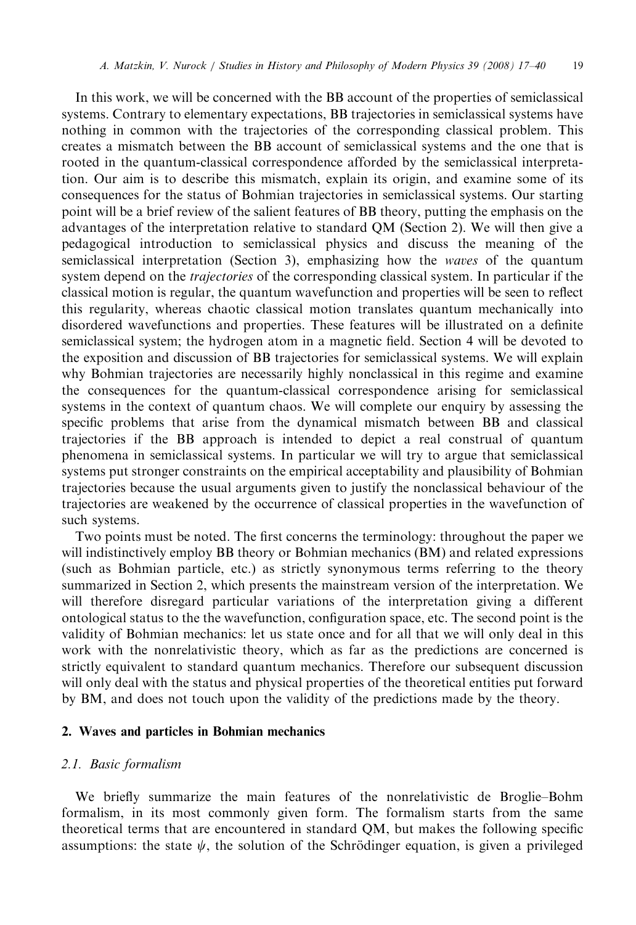In this work, we will be concerned with the BB account of the properties of semiclassical systems. Contrary to elementary expectations, BB trajectories in semiclassical systems have nothing in common with the trajectories of the corresponding classical problem. This creates a mismatch between the BB account of semiclassical systems and the one that is rooted in the quantum-classical correspondence afforded by the semiclassical interpretation. Our aim is to describe this mismatch, explain its origin, and examine some of its consequences for the status of Bohmian trajectories in semiclassical systems. Our starting point will be a brief review of the salient features of BB theory, putting the emphasis on the advantages of the interpretation relative to standard QM (Section 2). We will then give a pedagogical introduction to semiclassical physics and discuss the meaning of the semiclassical interpretation (Section 3), emphasizing how the waves of the quantum system depend on the *trajectories* of the corresponding classical system. In particular if the classical motion is regular, the quantum wavefunction and properties will be seen to reflect this regularity, whereas chaotic classical motion translates quantum mechanically into disordered wavefunctions and properties. These features will be illustrated on a definite semiclassical system; the hydrogen atom in a magnetic field. Section 4 will be devoted to the exposition and discussion of BB trajectories for semiclassical systems. We will explain why Bohmian trajectories are necessarily highly nonclassical in this regime and examine the consequences for the quantum-classical correspondence arising for semiclassical systems in the context of quantum chaos. We will complete our enquiry by assessing the specific problems that arise from the dynamical mismatch between BB and classical trajectories if the BB approach is intended to depict a real construal of quantum phenomena in semiclassical systems. In particular we will try to argue that semiclassical systems put stronger constraints on the empirical acceptability and plausibility of Bohmian trajectories because the usual arguments given to justify the nonclassical behaviour of the trajectories are weakened by the occurrence of classical properties in the wavefunction of such systems.

Two points must be noted. The first concerns the terminology: throughout the paper we will indistinctively employ BB theory or Bohmian mechanics (BM) and related expressions (such as Bohmian particle, etc.) as strictly synonymous terms referring to the theory summarized in Section 2, which presents the mainstream version of the interpretation. We will therefore disregard particular variations of the interpretation giving a different ontological status to the the wavefunction, configuration space, etc. The second point is the validity of Bohmian mechanics: let us state once and for all that we will only deal in this work with the nonrelativistic theory, which as far as the predictions are concerned is strictly equivalent to standard quantum mechanics. Therefore our subsequent discussion will only deal with the status and physical properties of the theoretical entities put forward by BM, and does not touch upon the validity of the predictions made by the theory.

#### 2. Waves and particles in Bohmian mechanics

#### 2.1. Basic formalism

We briefly summarize the main features of the nonrelativistic de Broglie–Bohm formalism, in its most commonly given form. The formalism starts from the same theoretical terms that are encountered in standard QM, but makes the following specific assumptions: the state  $\psi$ , the solution of the Schrödinger equation, is given a privileged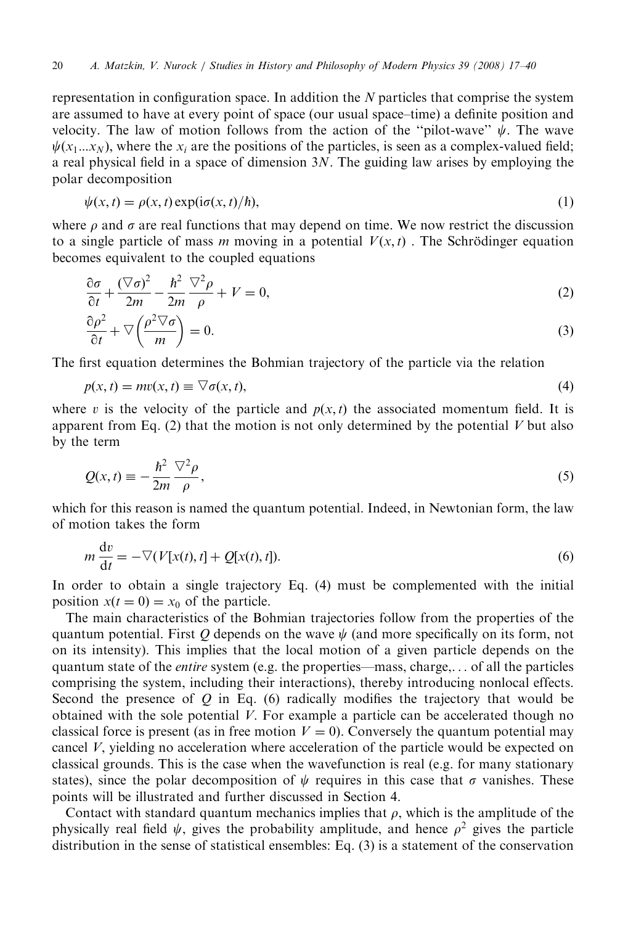representation in configuration space. In addition the N particles that comprise the system are assumed to have at every point of space (our usual space–time) a definite position and velocity. The law of motion follows from the action of the "pilot-wave"  $\psi$ . The wave  $\psi(x_1...x_N)$ , where the  $x_i$  are the positions of the particles, is seen as a complex-valued field; a real physical field in a space of dimension  $3N$ . The guiding law arises by employing the polar decomposition

$$
\psi(x,t) = \rho(x,t) \exp(i\sigma(x,t)/\hbar),\tag{1}
$$

where  $\rho$  and  $\sigma$  are real functions that may depend on time. We now restrict the discussion to a single particle of mass m moving in a potential  $V(x, t)$ . The Schrödinger equation becomes equivalent to the coupled equations

$$
\frac{\partial \sigma}{\partial t} + \frac{(\nabla \sigma)^2}{2m} - \frac{\hbar^2}{2m} \frac{\nabla^2 \rho}{\rho} + V = 0,
$$
\n(2)

$$
\frac{\partial \rho^2}{\partial t} + \nabla \left( \frac{\rho^2 \nabla \sigma}{m} \right) = 0. \tag{3}
$$

The first equation determines the Bohmian trajectory of the particle via the relation

$$
p(x,t) = mv(x,t) \equiv \nabla \sigma(x,t),
$$
\n(4)

where v is the velocity of the particle and  $p(x, t)$  the associated momentum field. It is apparent from Eq.  $(2)$  that the motion is not only determined by the potential V but also by the term

$$
Q(x,t) \equiv -\frac{\hbar^2}{2m} \frac{\nabla^2 \rho}{\rho},\tag{5}
$$

which for this reason is named the quantum potential. Indeed, in Newtonian form, the law of motion takes the form

$$
m\frac{\mathrm{d}v}{\mathrm{d}t} = -\nabla(V[x(t), t] + Q[x(t), t]).\tag{6}
$$

In order to obtain a single trajectory Eq. (4) must be complemented with the initial position  $x(t = 0) = x_0$  of the particle.

The main characteristics of the Bohmian trajectories follow from the properties of the quantum potential. First O depends on the wave  $\psi$  (and more specifically on its form, not on its intensity). This implies that the local motion of a given particle depends on the quantum state of the *entire* system (e.g. the properties—mass, charge,... of all the particles comprising the system, including their interactions), thereby introducing nonlocal effects. Second the presence of  $Q$  in Eq. (6) radically modifies the trajectory that would be obtained with the sole potential  $V$ . For example a particle can be accelerated though no classical force is present (as in free motion  $V = 0$ ). Conversely the quantum potential may cancel V, yielding no acceleration where acceleration of the particle would be expected on classical grounds. This is the case when the wavefunction is real (e.g. for many stationary states), since the polar decomposition of  $\psi$  requires in this case that  $\sigma$  vanishes. These points will be illustrated and further discussed in Section 4.

Contact with standard quantum mechanics implies that  $\rho$ , which is the amplitude of the physically real field  $\psi$ , gives the probability amplitude, and hence  $\rho^2$  gives the particle distribution in the sense of statistical ensembles: Eq. (3) is a statement of the conservation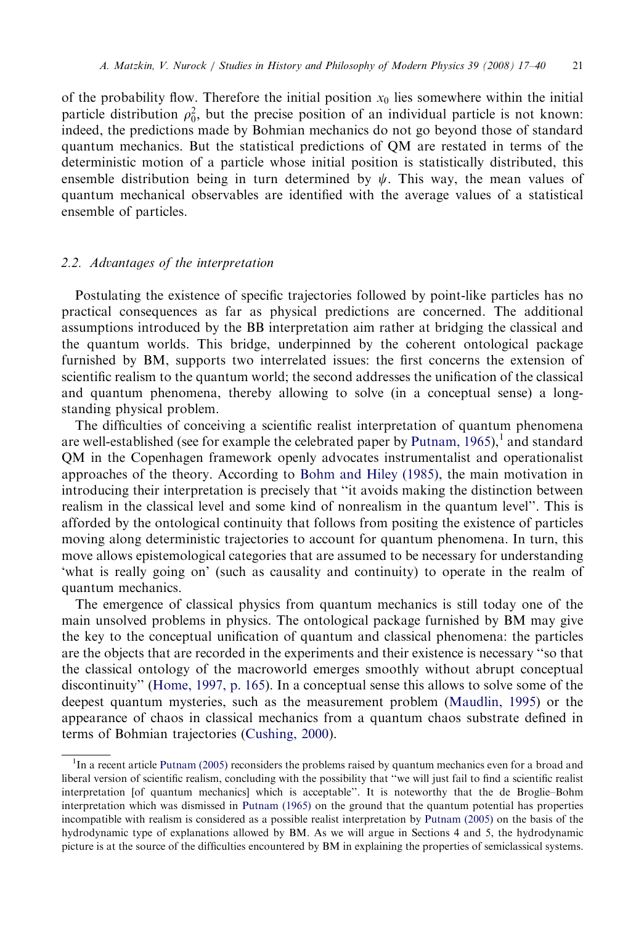of the probability flow. Therefore the initial position  $x_0$  lies somewhere within the initial particle distribution  $\rho_0^2$ , but the precise position of an individual particle is not known: indeed, the predictions made by Bohmian mechanics do not go beyond those of standard quantum mechanics. But the statistical predictions of QM are restated in terms of the deterministic motion of a particle whose initial position is statistically distributed, this ensemble distribution being in turn determined by  $\psi$ . This way, the mean values of quantum mechanical observables are identified with the average values of a statistical ensemble of particles.

## 2.2. Advantages of the interpretation

Postulating the existence of specific trajectories followed by point-like particles has no practical consequences as far as physical predictions are concerned. The additional assumptions introduced by the BB interpretation aim rather at bridging the classical and the quantum worlds. This bridge, underpinned by the coherent ontological package furnished by BM, supports two interrelated issues: the first concerns the extension of scientific realism to the quantum world; the second addresses the unification of the classical and quantum phenomena, thereby allowing to solve (in a conceptual sense) a longstanding physical problem.

The difficulties of conceiving a scientific realist interpretation of quantum phenomena are well-established (see for example the celebrated paper by Putnam,  $1965$ ),<sup>1</sup> and standard QM in the Copenhagen framework openly advocates instrumentalist and operationalist approaches of the theory. According to [Bohm and Hiley \(1985\),](#page-22-0) the main motivation in introducing their interpretation is precisely that ''it avoids making the distinction between realism in the classical level and some kind of nonrealism in the quantum level''. This is afforded by the ontological continuity that follows from positing the existence of particles moving along deterministic trajectories to account for quantum phenomena. In turn, this move allows epistemological categories that are assumed to be necessary for understanding 'what is really going on' (such as causality and continuity) to operate in the realm of quantum mechanics.

The emergence of classical physics from quantum mechanics is still today one of the main unsolved problems in physics. The ontological package furnished by BM may give the key to the conceptual unification of quantum and classical phenomena: the particles are the objects that are recorded in the experiments and their existence is necessary ''so that the classical ontology of the macroworld emerges smoothly without abrupt conceptual discontinuity'' [\(Home, 1997, p. 165](#page-23-0)). In a conceptual sense this allows to solve some of the deepest quantum mysteries, such as the measurement problem [\(Maudlin, 1995](#page-23-0)) or the appearance of chaos in classical mechanics from a quantum chaos substrate defined in terms of Bohmian trajectories ([Cushing, 2000\)](#page-22-0).

<sup>&</sup>lt;sup>1</sup>In a recent article [Putnam \(2005\)](#page-23-0) reconsiders the problems raised by quantum mechanics even for a broad and liberal version of scientific realism, concluding with the possibility that ''we will just fail to find a scientific realist interpretation [of quantum mechanics] which is acceptable''. It is noteworthy that the de Broglie–Bohm interpretation which was dismissed in [Putnam \(1965\)](#page-23-0) on the ground that the quantum potential has properties incompatible with realism is considered as a possible realist interpretation by [Putnam \(2005\)](#page-23-0) on the basis of the hydrodynamic type of explanations allowed by BM. As we will argue in Sections 4 and 5, the hydrodynamic picture is at the source of the difficulties encountered by BM in explaining the properties of semiclassical systems.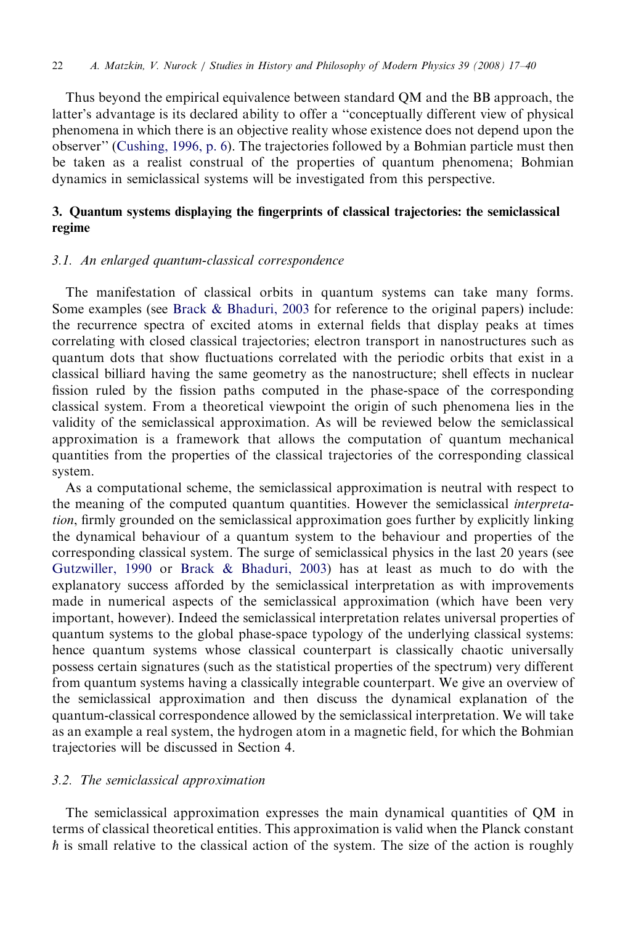Thus beyond the empirical equivalence between standard QM and the BB approach, the latter's advantage is its declared ability to offer a ''conceptually different view of physical phenomena in which there is an objective reality whose existence does not depend upon the observer'' ([Cushing, 1996, p. 6](#page-22-0)). The trajectories followed by a Bohmian particle must then be taken as a realist construal of the properties of quantum phenomena; Bohmian dynamics in semiclassical systems will be investigated from this perspective.

# 3. Quantum systems displaying the fingerprints of classical trajectories: the semiclassical regime

## 3.1. An enlarged quantum-classical correspondence

The manifestation of classical orbits in quantum systems can take many forms. Some examples (see [Brack & Bhaduri, 2003](#page-22-0) for reference to the original papers) include: the recurrence spectra of excited atoms in external fields that display peaks at times correlating with closed classical trajectories; electron transport in nanostructures such as quantum dots that show fluctuations correlated with the periodic orbits that exist in a classical billiard having the same geometry as the nanostructure; shell effects in nuclear fission ruled by the fission paths computed in the phase-space of the corresponding classical system. From a theoretical viewpoint the origin of such phenomena lies in the validity of the semiclassical approximation. As will be reviewed below the semiclassical approximation is a framework that allows the computation of quantum mechanical quantities from the properties of the classical trajectories of the corresponding classical system.

As a computational scheme, the semiclassical approximation is neutral with respect to the meaning of the computed quantum quantities. However the semiclassical interpretation, firmly grounded on the semiclassical approximation goes further by explicitly linking the dynamical behaviour of a quantum system to the behaviour and properties of the corresponding classical system. The surge of semiclassical physics in the last 20 years (see [Gutzwiller, 1990](#page-22-0) or [Brack & Bhaduri, 2003\)](#page-22-0) has at least as much to do with the explanatory success afforded by the semiclassical interpretation as with improvements made in numerical aspects of the semiclassical approximation (which have been very important, however). Indeed the semiclassical interpretation relates universal properties of quantum systems to the global phase-space typology of the underlying classical systems: hence quantum systems whose classical counterpart is classically chaotic universally possess certain signatures (such as the statistical properties of the spectrum) very different from quantum systems having a classically integrable counterpart. We give an overview of the semiclassical approximation and then discuss the dynamical explanation of the quantum-classical correspondence allowed by the semiclassical interpretation. We will take as an example a real system, the hydrogen atom in a magnetic field, for which the Bohmian trajectories will be discussed in Section 4.

## 3.2. The semiclassical approximation

The semiclassical approximation expresses the main dynamical quantities of QM in terms of classical theoretical entities. This approximation is valid when the Planck constant  $\hbar$  is small relative to the classical action of the system. The size of the action is roughly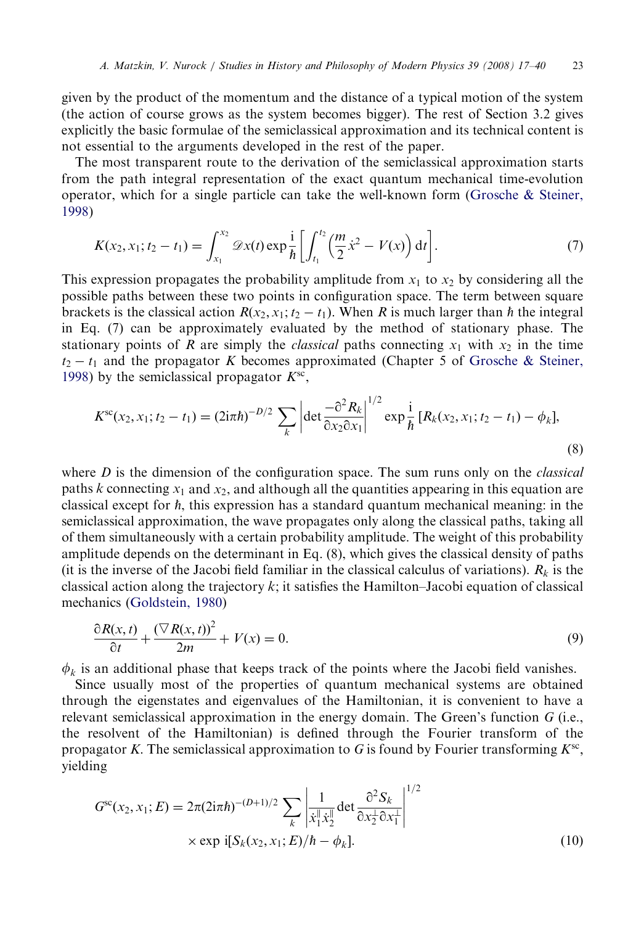given by the product of the momentum and the distance of a typical motion of the system (the action of course grows as the system becomes bigger). The rest of Section 3.2 gives explicitly the basic formulae of the semiclassical approximation and its technical content is not essential to the arguments developed in the rest of the paper.

The most transparent route to the derivation of the semiclassical approximation starts from the path integral representation of the exact quantum mechanical time-evolution operator, which for a single particle can take the well-known form ([Grosche & Steiner,](#page-22-0) [1998](#page-22-0))

$$
K(x_2, x_1; t_2 - t_1) = \int_{x_1}^{x_2} \mathcal{D}x(t) \exp \frac{i}{\hbar} \left[ \int_{t_1}^{t_2} \left( \frac{m}{2} \dot{x}^2 - V(x) \right) dt \right]. \tag{7}
$$

This expression propagates the probability amplitude from  $x_1$  to  $x_2$  by considering all the possible paths between these two points in configuration space. The term between square brackets is the classical action  $R(x_2, x_1; t_2 - t_1)$ . When R is much larger than h the integral in Eq. (7) can be approximately evaluated by the method of stationary phase. The stationary points of R are simply the *classical* paths connecting  $x_1$  with  $x_2$  in the time  $t_2 - t_1$  and the propagator K becomes approximated (Chapter 5 of [Grosche](#page-22-0) & [Steiner,](#page-22-0) [1998](#page-22-0)) by the semiclassical propagator  $K^{sc}$ ,

$$
K^{\rm sc}(x_2, x_1; t_2 - t_1) = (2i\pi\hbar)^{-D/2} \sum_{k} \left| \det \frac{-\partial^2 R_k}{\partial x_2 \partial x_1} \right|^{1/2} \exp \frac{i}{\hbar} \left[ R_k(x_2, x_1; t_2 - t_1) - \phi_k \right],\tag{8}
$$

 $1/2$ 

where  $D$  is the dimension of the configuration space. The sum runs only on the *classical* paths k connecting  $x_1$  and  $x_2$ , and although all the quantities appearing in this equation are classical except for  $\hbar$ , this expression has a standard quantum mechanical meaning: in the semiclassical approximation, the wave propagates only along the classical paths, taking all of them simultaneously with a certain probability amplitude. The weight of this probability amplitude depends on the determinant in Eq. (8), which gives the classical density of paths (it is the inverse of the Jacobi field familiar in the classical calculus of variations).  $R_k$  is the classical action along the trajectory  $k$ ; it satisfies the Hamilton–Jacobi equation of classical mechanics ([Goldstein, 1980\)](#page-22-0)

$$
\frac{\partial R(x,t)}{\partial t} + \frac{(\nabla R(x,t))^2}{2m} + V(x) = 0.
$$
\n(9)

 $\phi_k$  is an additional phase that keeps track of the points where the Jacobi field vanishes.

Since usually most of the properties of quantum mechanical systems are obtained through the eigenstates and eigenvalues of the Hamiltonian, it is convenient to have a relevant semiclassical approximation in the energy domain. The Green's function G (i.e., the resolvent of the Hamiltonian) is defined through the Fourier transform of the propagator K. The semiclassical approximation to G is found by Fourier transforming  $K^{sc}$ , yielding

$$
G^{\rm sc}(x_2, x_1; E) = 2\pi (2i\pi\hbar)^{-(D+1)/2} \sum_{k} \left| \frac{1}{\dot{x}_1^{\parallel} \dot{x}_2^{\parallel}} \det \frac{\partial^2 S_k}{\partial x_2^{\perp} \partial x_1^{\perp}} \right|^{1/2} \times \exp i[S_k(x_2, x_1; E)/\hbar - \phi_k].
$$
\n(10)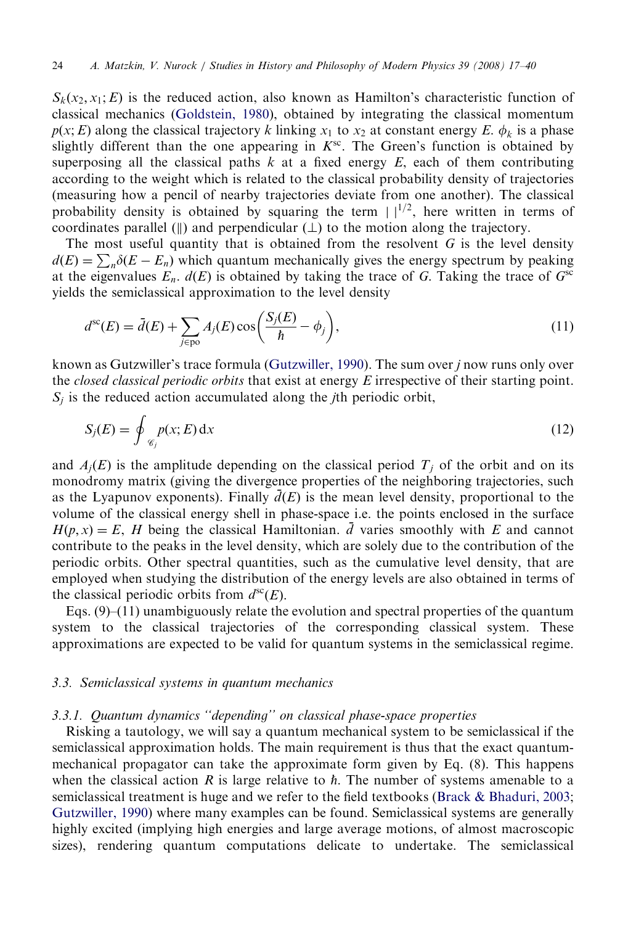$S_k(x_2, x_1; E)$  is the reduced action, also known as Hamilton's characteristic function of classical mechanics [\(Goldstein, 1980](#page-22-0)), obtained by integrating the classical momentum  $p(x; E)$  along the classical trajectory k linking  $x_1$  to  $x_2$  at constant energy E.  $\phi_k$  is a phase slightly different than the one appearing in  $K<sup>sc</sup>$ . The Green's function is obtained by superposing all the classical paths  $k$  at a fixed energy  $E$ , each of them contributing according to the weight which is related to the classical probability density of trajectories (measuring how a pencil of nearby trajectories deviate from one another). The classical probability density is obtained by squaring the term  $||^{1/2}$ , here written in terms of coordinates parallel ( $\parallel$ ) and perpendicular  $(\perp)$  to the motion along the trajectory.

The most useful quantity that is obtained from the resolvent  $G$  is the level density  $d(E) = \sum_{n} \delta(E - E_n)$  which quantum mechanically gives the energy spectrum by peaking at the eigenvalues  $E_n$ .  $d(E)$  is obtained by taking the trace of G. Taking the trace of  $G^s$ yields the semiclassical approximation to the level density

$$
d^{sc}(E) = \bar{d}(E) + \sum_{j \in \text{po}} A_j(E) \cos\left(\frac{S_j(E)}{\hbar} - \phi_j\right),\tag{11}
$$

known as Gutzwiller's trace formula ([Gutzwiller, 1990\)](#page-22-0). The sum over j now runs only over the *closed classical periodic orbits* that exist at energy  $E$  irrespective of their starting point.  $S_i$  is the reduced action accumulated along the *j*th periodic orbit,

$$
S_j(E) = \oint_{\mathcal{C}_j} p(x; E) \, \mathrm{d}x \tag{12}
$$

and  $A_i(E)$  is the amplitude depending on the classical period  $T_i$  of the orbit and on its monodromy matrix (giving the divergence properties of the neighboring trajectories, such as the Lyapunov exponents). Finally  $\bar{d}(E)$  is the mean level density, proportional to the volume of the classical energy shell in phase-space i.e. the points enclosed in the surface  $H(p, x) = E$ , H being the classical Hamiltonian.  $\overline{d}$  varies smoothly with E and cannot contribute to the peaks in the level density, which are solely due to the contribution of the periodic orbits. Other spectral quantities, such as the cumulative level density, that are employed when studying the distribution of the energy levels are also obtained in terms of the classical periodic orbits from  $d^{\rm sc}(E)$ .

Eqs. (9)–(11) unambiguously relate the evolution and spectral properties of the quantum system to the classical trajectories of the corresponding classical system. These approximations are expected to be valid for quantum systems in the semiclassical regime.

## 3.3. Semiclassical systems in quantum mechanics

#### 3.3.1. Quantum dynamics ''depending'' on classical phase-space properties

Risking a tautology, we will say a quantum mechanical system to be semiclassical if the semiclassical approximation holds. The main requirement is thus that the exact quantummechanical propagator can take the approximate form given by Eq. (8). This happens when the classical action R is large relative to  $\hbar$ . The number of systems amenable to a semiclassical treatment is huge and we refer to the field textbooks [\(Brack](#page-22-0) [& Bhaduri, 2003;](#page-22-0) [Gutzwiller, 1990\)](#page-22-0) where many examples can be found. Semiclassical systems are generally highly excited (implying high energies and large average motions, of almost macroscopic sizes), rendering quantum computations delicate to undertake. The semiclassical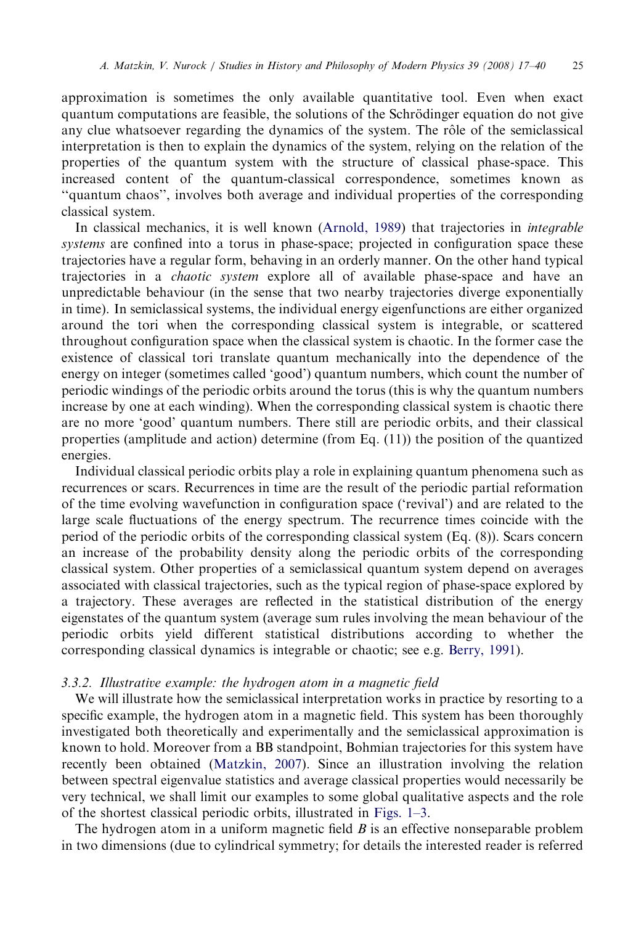approximation is sometimes the only available quantitative tool. Even when exact quantum computations are feasible, the solutions of the Schrödinger equation do not give any clue whatsoever regarding the dynamics of the system. The rôle of the semiclassical interpretation is then to explain the dynamics of the system, relying on the relation of the properties of the quantum system with the structure of classical phase-space. This increased content of the quantum-classical correspondence, sometimes known as ''quantum chaos'', involves both average and individual properties of the corresponding classical system.

In classical mechanics, it is well known ([Arnold, 1989](#page-22-0)) that trajectories in integrable systems are confined into a torus in phase-space; projected in configuration space these trajectories have a regular form, behaving in an orderly manner. On the other hand typical trajectories in a chaotic system explore all of available phase-space and have an unpredictable behaviour (in the sense that two nearby trajectories diverge exponentially in time). In semiclassical systems, the individual energy eigenfunctions are either organized around the tori when the corresponding classical system is integrable, or scattered throughout configuration space when the classical system is chaotic. In the former case the existence of classical tori translate quantum mechanically into the dependence of the energy on integer (sometimes called 'good') quantum numbers, which count the number of periodic windings of the periodic orbits around the torus (this is why the quantum numbers increase by one at each winding). When the corresponding classical system is chaotic there are no more 'good' quantum numbers. There still are periodic orbits, and their classical properties (amplitude and action) determine (from Eq. (11)) the position of the quantized energies.

Individual classical periodic orbits play a role in explaining quantum phenomena such as recurrences or scars. Recurrences in time are the result of the periodic partial reformation of the time evolving wavefunction in configuration space ('revival') and are related to the large scale fluctuations of the energy spectrum. The recurrence times coincide with the period of the periodic orbits of the corresponding classical system (Eq. (8)). Scars concern an increase of the probability density along the periodic orbits of the corresponding classical system. Other properties of a semiclassical quantum system depend on averages associated with classical trajectories, such as the typical region of phase-space explored by a trajectory. These averages are reflected in the statistical distribution of the energy eigenstates of the quantum system (average sum rules involving the mean behaviour of the periodic orbits yield different statistical distributions according to whether the corresponding classical dynamics is integrable or chaotic; see e.g. [Berry, 1991\)](#page-22-0).

## 3.3.2. Illustrative example: the hydrogen atom in a magnetic field

We will illustrate how the semiclassical interpretation works in practice by resorting to a specific example, the hydrogen atom in a magnetic field. This system has been thoroughly investigated both theoretically and experimentally and the semiclassical approximation is known to hold. Moreover from a BB standpoint, Bohmian trajectories for this system have recently been obtained [\(Matzkin, 2007](#page-23-0)). Since an illustration involving the relation between spectral eigenvalue statistics and average classical properties would necessarily be very technical, we shall limit our examples to some global qualitative aspects and the role of the shortest classical periodic orbits, illustrated in [Figs. 1–3](#page-10-0).

The hydrogen atom in a uniform magnetic field  $B$  is an effective nonseparable problem in two dimensions (due to cylindrical symmetry; for details the interested reader is referred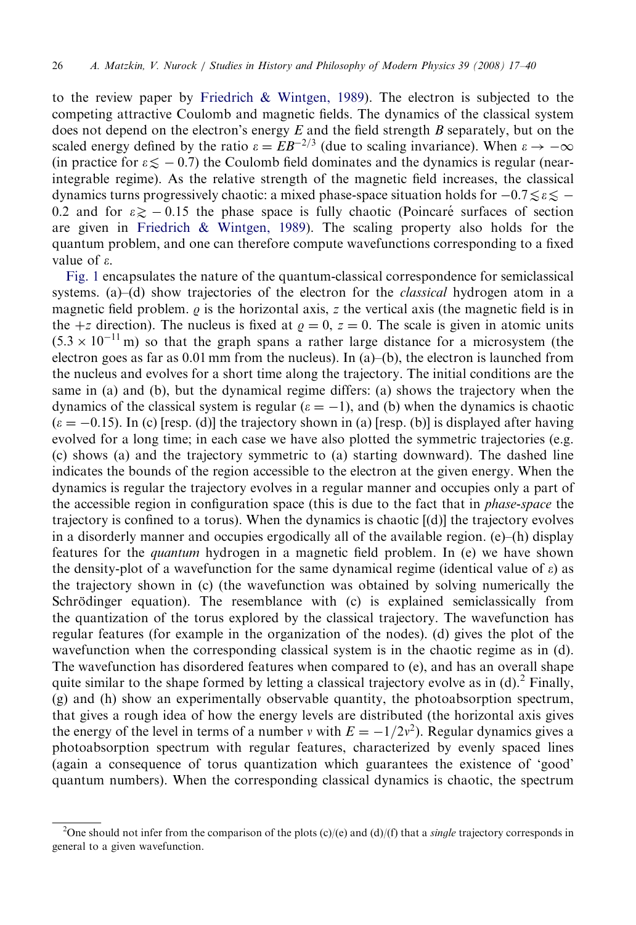to the review paper by [Friedrich & Wintgen, 1989](#page-22-0)). The electron is subjected to the competing attractive Coulomb and magnetic fields. The dynamics of the classical system does not depend on the electron's energy  $E$  and the field strength  $B$  separately, but on the scaled energy defined by the ratio  $\varepsilon = EB^{-2/3}$  (due to scaling invariance). When  $\varepsilon \to -\infty$ (in practice for  $\epsilon \lesssim -0.7$ ) the Coulomb field dominates and the dynamics is regular (nearintegrable regime). As the relative strength of the magnetic field increases, the classical dynamics turns progressively chaotic: a mixed phase-space situation holds for  $-0.7 \lesssim \varepsilon \lesssim -1$ 0.2 and for  $\epsilon \gtrsim -0.15$  the phase space is fully chaotic (Poincaré surfaces of section are given in [Friedrich](#page-22-0) & [Wintgen, 1989](#page-22-0)). The scaling property also holds for the quantum problem, and one can therefore compute wavefunctions corresponding to a fixed value of  $\varepsilon$ .

[Fig. 1](#page-10-0) encapsulates the nature of the quantum-classical correspondence for semiclassical systems. (a)–(d) show trajectories of the electron for the *classical* hydrogen atom in a magnetic field problem.  $\varrho$  is the horizontal axis, z the vertical axis (the magnetic field is in the +z direction). The nucleus is fixed at  $\rho = 0$ ,  $z = 0$ . The scale is given in atomic units  $(5.3 \times 10^{-11} \text{ m})$  so that the graph spans a rather large distance for a microsystem (the electron goes as far as  $0.01$  mm from the nucleus). In (a)–(b), the electron is launched from the nucleus and evolves for a short time along the trajectory. The initial conditions are the same in (a) and (b), but the dynamical regime differs: (a) shows the trajectory when the dynamics of the classical system is regular ( $\varepsilon = -1$ ), and (b) when the dynamics is chaotic  $(\varepsilon = -0.15)$ . In (c) [resp. (d)] the trajectory shown in (a) [resp. (b)] is displayed after having evolved for a long time; in each case we have also plotted the symmetric trajectories (e.g. (c) shows (a) and the trajectory symmetric to (a) starting downward). The dashed line indicates the bounds of the region accessible to the electron at the given energy. When the dynamics is regular the trajectory evolves in a regular manner and occupies only a part of the accessible region in configuration space (this is due to the fact that in *phase-space* the trajectory is confined to a torus). When the dynamics is chaotic [(d)] the trajectory evolves in a disorderly manner and occupies ergodically all of the available region. (e)–(h) display features for the quantum hydrogen in a magnetic field problem. In (e) we have shown the density-plot of a wavefunction for the same dynamical regime (identical value of  $\varepsilon$ ) as the trajectory shown in (c) (the wavefunction was obtained by solving numerically the Schrödinger equation). The resemblance with (c) is explained semiclassically from the quantization of the torus explored by the classical trajectory. The wavefunction has regular features (for example in the organization of the nodes). (d) gives the plot of the wavefunction when the corresponding classical system is in the chaotic regime as in (d). The wavefunction has disordered features when compared to (e), and has an overall shape quite similar to the shape formed by letting a classical trajectory evolve as in (d).<sup>2</sup> Finally, (g) and (h) show an experimentally observable quantity, the photoabsorption spectrum, that gives a rough idea of how the energy levels are distributed (the horizontal axis gives the energy of the level in terms of a number v with  $E = -1/2v^2$ ). Regular dynamics gives a photoabsorption spectrum with regular features, characterized by evenly spaced lines (again a consequence of torus quantization which guarantees the existence of 'good' quantum numbers). When the corresponding classical dynamics is chaotic, the spectrum

<sup>&</sup>lt;sup>2</sup>One should not infer from the comparison of the plots (c)/(e) and (d)/(f) that a *single* trajectory corresponds in general to a given wavefunction.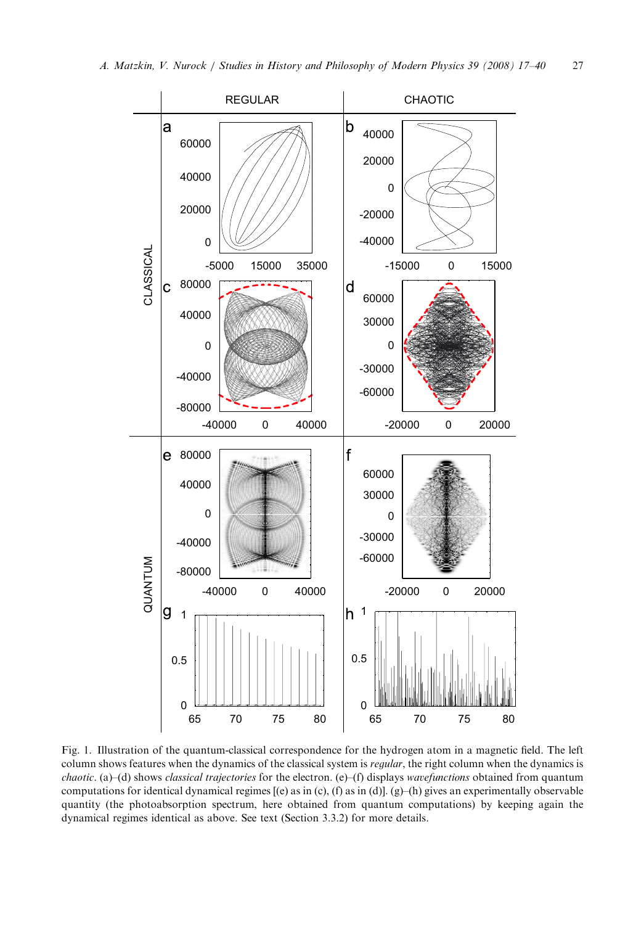<span id="page-10-0"></span>

Fig. 1. Illustration of the quantum-classical correspondence for the hydrogen atom in a magnetic field. The left column shows features when the dynamics of the classical system is *regular*, the right column when the dynamics is chaotic. (a)–(d) shows classical trajectories for the electron. (e)–(f) displays wavefunctions obtained from quantum computations for identical dynamical regimes  $[(e)$  as in  $(c)$ ,  $(f)$  as in  $(d)]$ .  $(g)$ – $(h)$  gives an experimentally observable quantity (the photoabsorption spectrum, here obtained from quantum computations) by keeping again the dynamical regimes identical as above. See text (Section 3.3.2) for more details.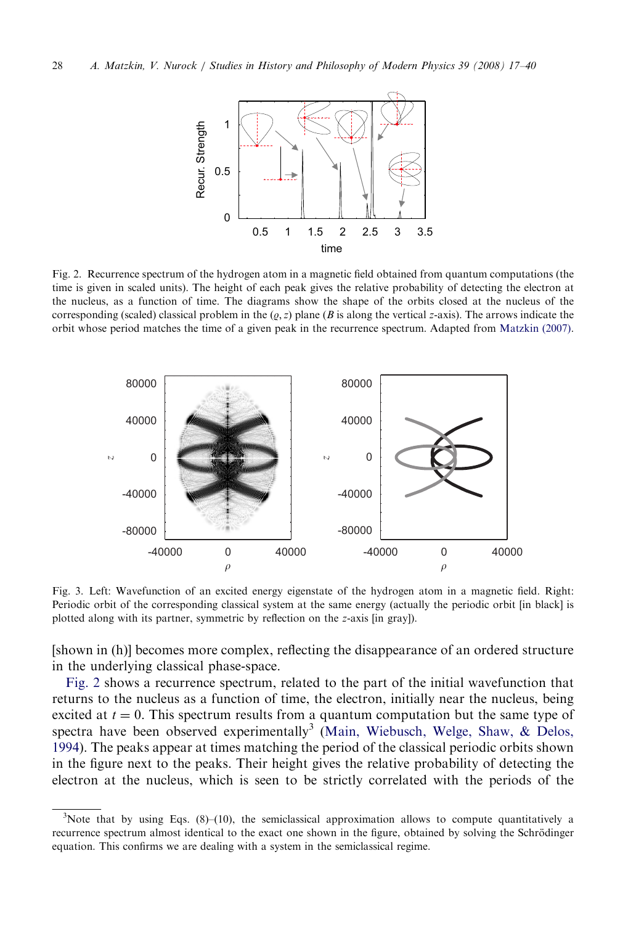<span id="page-11-0"></span>

Fig. 2. Recurrence spectrum of the hydrogen atom in a magnetic field obtained from quantum computations (the time is given in scaled units). The height of each peak gives the relative probability of detecting the electron at the nucleus, as a function of time. The diagrams show the shape of the orbits closed at the nucleus of the corresponding (scaled) classical problem in the  $(q, z)$  plane (B is along the vertical z-axis). The arrows indicate the orbit whose period matches the time of a given peak in the recurrence spectrum. Adapted from [Matzkin \(2007\)](#page-23-0).



Fig. 3. Left: Wavefunction of an excited energy eigenstate of the hydrogen atom in a magnetic field. Right: Periodic orbit of the corresponding classical system at the same energy (actually the periodic orbit [in black] is plotted along with its partner, symmetric by reflection on the z-axis [in gray]).

[shown in (h)] becomes more complex, reflecting the disappearance of an ordered structure in the underlying classical phase-space.

Fig. 2 shows a recurrence spectrum, related to the part of the initial wavefunction that returns to the nucleus as a function of time, the electron, initially near the nucleus, being excited at  $t = 0$ . This spectrum results from a quantum computation but the same type of spectra have been observed experimentally<sup>3</sup> [\(Main, Wiebusch, Welge, Shaw, & Delos,](#page-23-0) [1994](#page-23-0)). The peaks appear at times matching the period of the classical periodic orbits shown in the figure next to the peaks. Their height gives the relative probability of detecting the electron at the nucleus, which is seen to be strictly correlated with the periods of the

<sup>&</sup>lt;sup>3</sup>Note that by using Eqs.  $(8)$ – $(10)$ , the semiclassical approximation allows to compute quantitatively a recurrence spectrum almost identical to the exact one shown in the figure, obtained by solving the Schrödinger equation. This confirms we are dealing with a system in the semiclassical regime.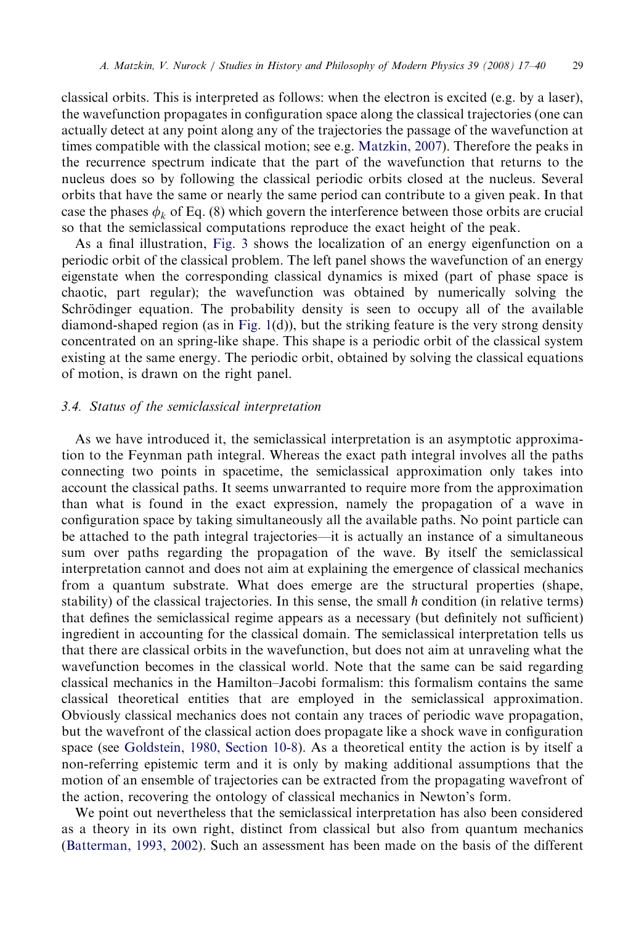classical orbits. This is interpreted as follows: when the electron is excited (e.g. by a laser), the wavefunction propagates in configuration space along the classical trajectories (one can actually detect at any point along any of the trajectories the passage of the wavefunction at times compatible with the classical motion; see e.g. [Matzkin, 2007](#page-23-0)). Therefore the peaks in the recurrence spectrum indicate that the part of the wavefunction that returns to the nucleus does so by following the classical periodic orbits closed at the nucleus. Several orbits that have the same or nearly the same period can contribute to a given peak. In that case the phases  $\phi_k$  of Eq. (8) which govern the interference between those orbits are crucial so that the semiclassical computations reproduce the exact height of the peak.

As a final illustration, [Fig. 3](#page-11-0) shows the localization of an energy eigenfunction on a periodic orbit of the classical problem. The left panel shows the wavefunction of an energy eigenstate when the corresponding classical dynamics is mixed (part of phase space is chaotic, part regular); the wavefunction was obtained by numerically solving the Schrödinger equation. The probability density is seen to occupy all of the available diamond-shaped region (as in [Fig. 1](#page-10-0)(d)), but the striking feature is the very strong density concentrated on an spring-like shape. This shape is a periodic orbit of the classical system existing at the same energy. The periodic orbit, obtained by solving the classical equations of motion, is drawn on the right panel.

#### 3.4. Status of the semiclassical interpretation

As we have introduced it, the semiclassical interpretation is an asymptotic approximation to the Feynman path integral. Whereas the exact path integral involves all the paths connecting two points in spacetime, the semiclassical approximation only takes into account the classical paths. It seems unwarranted to require more from the approximation than what is found in the exact expression, namely the propagation of a wave in configuration space by taking simultaneously all the available paths. No point particle can be attached to the path integral trajectories—it is actually an instance of a simultaneous sum over paths regarding the propagation of the wave. By itself the semiclassical interpretation cannot and does not aim at explaining the emergence of classical mechanics from a quantum substrate. What does emerge are the structural properties (shape, stability) of the classical trajectories. In this sense, the small  $\hbar$  condition (in relative terms) that defines the semiclassical regime appears as a necessary (but definitely not sufficient) ingredient in accounting for the classical domain. The semiclassical interpretation tells us that there are classical orbits in the wavefunction, but does not aim at unraveling what the wavefunction becomes in the classical world. Note that the same can be said regarding classical mechanics in the Hamilton–Jacobi formalism: this formalism contains the same classical theoretical entities that are employed in the semiclassical approximation. Obviously classical mechanics does not contain any traces of periodic wave propagation, but the wavefront of the classical action does propagate like a shock wave in configuration space (see [Goldstein, 1980, Section 10-8](#page-22-0)). As a theoretical entity the action is by itself a non-referring epistemic term and it is only by making additional assumptions that the motion of an ensemble of trajectories can be extracted from the propagating wavefront of the action, recovering the ontology of classical mechanics in Newton's form.

We point out nevertheless that the semiclassical interpretation has also been considered as a theory in its own right, distinct from classical but also from quantum mechanics ([Batterman, 1993, 2002\)](#page-22-0). Such an assessment has been made on the basis of the different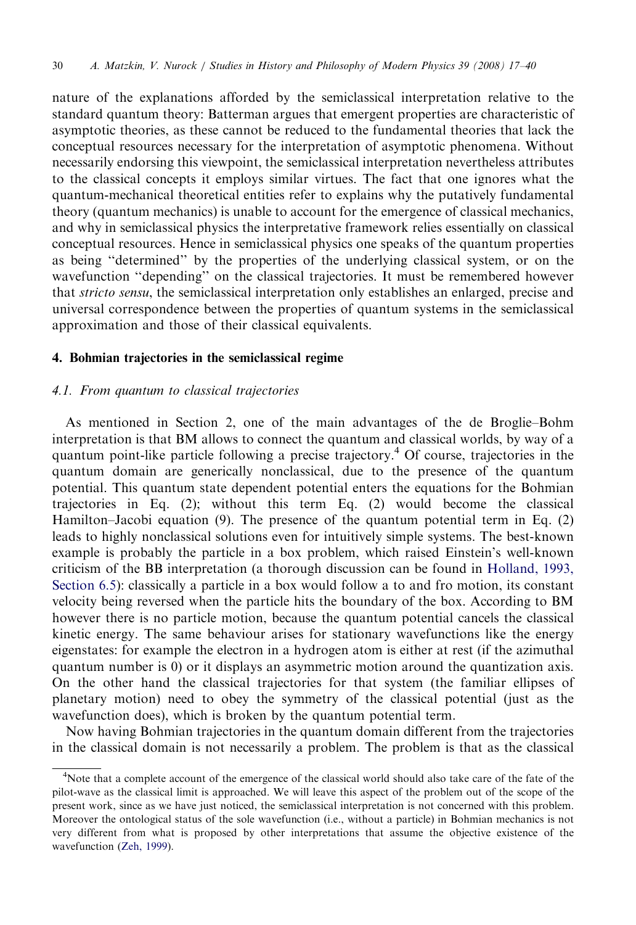nature of the explanations afforded by the semiclassical interpretation relative to the standard quantum theory: Batterman argues that emergent properties are characteristic of asymptotic theories, as these cannot be reduced to the fundamental theories that lack the conceptual resources necessary for the interpretation of asymptotic phenomena. Without necessarily endorsing this viewpoint, the semiclassical interpretation nevertheless attributes to the classical concepts it employs similar virtues. The fact that one ignores what the quantum-mechanical theoretical entities refer to explains why the putatively fundamental theory (quantum mechanics) is unable to account for the emergence of classical mechanics, and why in semiclassical physics the interpretative framework relies essentially on classical conceptual resources. Hence in semiclassical physics one speaks of the quantum properties as being ''determined'' by the properties of the underlying classical system, or on the wavefunction ''depending'' on the classical trajectories. It must be remembered however that stricto sensu, the semiclassical interpretation only establishes an enlarged, precise and universal correspondence between the properties of quantum systems in the semiclassical approximation and those of their classical equivalents.

## 4. Bohmian trajectories in the semiclassical regime

## 4.1. From quantum to classical trajectories

As mentioned in Section 2, one of the main advantages of the de Broglie–Bohm interpretation is that BM allows to connect the quantum and classical worlds, by way of a quantum point-like particle following a precise trajectory.4 Of course, trajectories in the quantum domain are generically nonclassical, due to the presence of the quantum potential. This quantum state dependent potential enters the equations for the Bohmian trajectories in Eq. (2); without this term Eq. (2) would become the classical Hamilton–Jacobi equation (9). The presence of the quantum potential term in Eq. (2) leads to highly nonclassical solutions even for intuitively simple systems. The best-known example is probably the particle in a box problem, which raised Einstein's well-known criticism of the BB interpretation (a thorough discussion can be found in [Holland, 1993,](#page-23-0) [Section 6.5](#page-23-0)): classically a particle in a box would follow a to and fro motion, its constant velocity being reversed when the particle hits the boundary of the box. According to BM however there is no particle motion, because the quantum potential cancels the classical kinetic energy. The same behaviour arises for stationary wavefunctions like the energy eigenstates: for example the electron in a hydrogen atom is either at rest (if the azimuthal quantum number is 0) or it displays an asymmetric motion around the quantization axis. On the other hand the classical trajectories for that system (the familiar ellipses of planetary motion) need to obey the symmetry of the classical potential (just as the wavefunction does), which is broken by the quantum potential term.

Now having Bohmian trajectories in the quantum domain different from the trajectories in the classical domain is not necessarily a problem. The problem is that as the classical

<sup>&</sup>lt;sup>4</sup>Note that a complete account of the emergence of the classical world should also take care of the fate of the pilot-wave as the classical limit is approached. We will leave this aspect of the problem out of the scope of the present work, since as we have just noticed, the semiclassical interpretation is not concerned with this problem. Moreover the ontological status of the sole wavefunction (i.e., without a particle) in Bohmian mechanics is not very different from what is proposed by other interpretations that assume the objective existence of the wavefunction [\(Zeh, 1999](#page-23-0)).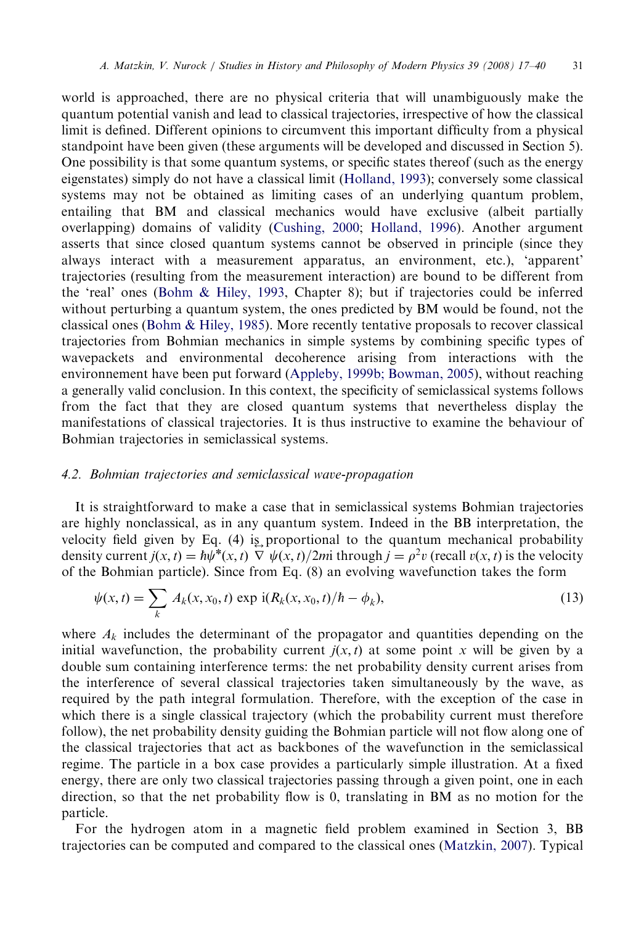world is approached, there are no physical criteria that will unambiguously make the quantum potential vanish and lead to classical trajectories, irrespective of how the classical limit is defined. Different opinions to circumvent this important difficulty from a physical standpoint have been given (these arguments will be developed and discussed in Section 5). One possibility is that some quantum systems, or specific states thereof (such as the energy eigenstates) simply do not have a classical limit [\(Holland, 1993\)](#page-23-0); conversely some classical systems may not be obtained as limiting cases of an underlying quantum problem, entailing that BM and classical mechanics would have exclusive (albeit partially overlapping) domains of validity [\(Cushing, 2000;](#page-22-0) [Holland, 1996\)](#page-23-0). Another argument asserts that since closed quantum systems cannot be observed in principle (since they always interact with a measurement apparatus, an environment, etc.), 'apparent' trajectories (resulting from the measurement interaction) are bound to be different from the 'real' ones [\(Bohm & Hiley, 1993](#page-22-0), Chapter 8); but if trajectories could be inferred without perturbing a quantum system, the ones predicted by BM would be found, not the classical ones ([Bohm](#page-22-0) & [Hiley, 1985\)](#page-22-0). More recently tentative proposals to recover classical trajectories from Bohmian mechanics in simple systems by combining specific types of wavepackets and environmental decoherence arising from interactions with the environnement have been put forward [\(Appleby, 1999b; Bowman, 2005\)](#page-22-0), without reaching a generally valid conclusion. In this context, the specificity of semiclassical systems follows from the fact that they are closed quantum systems that nevertheless display the manifestations of classical trajectories. It is thus instructive to examine the behaviour of Bohmian trajectories in semiclassical systems.

## 4.2. Bohmian trajectories and semiclassical wave-propagation

It is straightforward to make a case that in semiclassical systems Bohmian trajectories are highly nonclassical, as in any quantum system. Indeed in the BB interpretation, the velocity field given by Eq.  $(4)$  is proportional to the quantum mechanical probability density current  $j(x, t) = \hbar \psi^*(x, t) \nabla \psi(x, t)/2m$  through  $j = \rho^2 v$  (recall  $v(x, t)$  is the velocity of the Bohmian particle). Since from Eq. (8) an evolving wavefunction takes the form

$$
\psi(x,t) = \sum_{k} A_{k}(x,x_{0},t) \exp i(R_{k}(x,x_{0},t)/\hbar - \phi_{k}),
$$
\n(13)

where  $A_k$  includes the determinant of the propagator and quantities depending on the initial wavefunction, the probability current  $j(x, t)$  at some point x will be given by a double sum containing interference terms: the net probability density current arises from the interference of several classical trajectories taken simultaneously by the wave, as required by the path integral formulation. Therefore, with the exception of the case in which there is a single classical trajectory (which the probability current must therefore follow), the net probability density guiding the Bohmian particle will not flow along one of the classical trajectories that act as backbones of the wavefunction in the semiclassical regime. The particle in a box case provides a particularly simple illustration. At a fixed energy, there are only two classical trajectories passing through a given point, one in each direction, so that the net probability flow is 0, translating in BM as no motion for the particle.

For the hydrogen atom in a magnetic field problem examined in Section 3, BB trajectories can be computed and compared to the classical ones ([Matzkin, 2007](#page-23-0)). Typical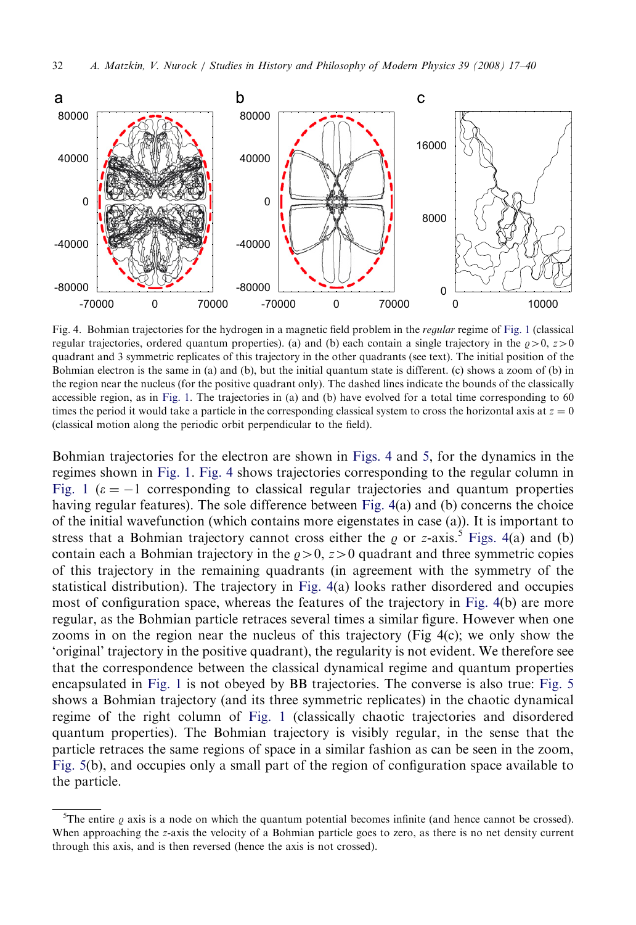<span id="page-15-0"></span>

Fig. 4. Bohmian trajectories for the hydrogen in a magnetic field problem in the regular regime of [Fig. 1](#page-10-0) (classical regular trajectories, ordered quantum properties). (a) and (b) each contain a single trajectory in the  $\rho > 0$ ,  $z > 0$ quadrant and 3 symmetric replicates of this trajectory in the other quadrants (see text). The initial position of the Bohmian electron is the same in (a) and (b), but the initial quantum state is different. (c) shows a zoom of (b) in the region near the nucleus (for the positive quadrant only). The dashed lines indicate the bounds of the classically accessible region, as in [Fig. 1.](#page-10-0) The trajectories in (a) and (b) have evolved for a total time corresponding to 60 times the period it would take a particle in the corresponding classical system to cross the horizontal axis at  $z = 0$ (classical motion along the periodic orbit perpendicular to the field).

Bohmian trajectories for the electron are shown in Figs. 4 and [5](#page-16-0), for the dynamics in the regimes shown in [Fig. 1.](#page-10-0) Fig. 4 shows trajectories corresponding to the regular column in [Fig. 1](#page-10-0) ( $\varepsilon = -1$  corresponding to classical regular trajectories and quantum properties having regular features). The sole difference between Fig. 4(a) and (b) concerns the choice of the initial wavefunction (which contains more eigenstates in case (a)). It is important to stress that a Bohmian trajectory cannot cross either the  $\rho$  or z-axis.<sup>5</sup> Figs. 4(a) and (b) contain each a Bohmian trajectory in the  $\rho > 0$ ,  $z > 0$  quadrant and three symmetric copies of this trajectory in the remaining quadrants (in agreement with the symmetry of the statistical distribution). The trajectory in Fig. 4(a) looks rather disordered and occupies most of configuration space, whereas the features of the trajectory in Fig. 4(b) are more regular, as the Bohmian particle retraces several times a similar figure. However when one zooms in on the region near the nucleus of this trajectory (Fig 4(c); we only show the 'original' trajectory in the positive quadrant), the regularity is not evident. We therefore see that the correspondence between the classical dynamical regime and quantum properties encapsulated in [Fig. 1](#page-10-0) is not obeyed by BB trajectories. The converse is also true: [Fig. 5](#page-16-0) shows a Bohmian trajectory (and its three symmetric replicates) in the chaotic dynamical regime of the right column of [Fig. 1](#page-10-0) (classically chaotic trajectories and disordered quantum properties). The Bohmian trajectory is visibly regular, in the sense that the particle retraces the same regions of space in a similar fashion as can be seen in the zoom, [Fig. 5](#page-16-0)(b), and occupies only a small part of the region of configuration space available to the particle.

<sup>&</sup>lt;sup>5</sup>The entire  $\varrho$  axis is a node on which the quantum potential becomes infinite (and hence cannot be crossed). When approaching the z-axis the velocity of a Bohmian particle goes to zero, as there is no net density current through this axis, and is then reversed (hence the axis is not crossed).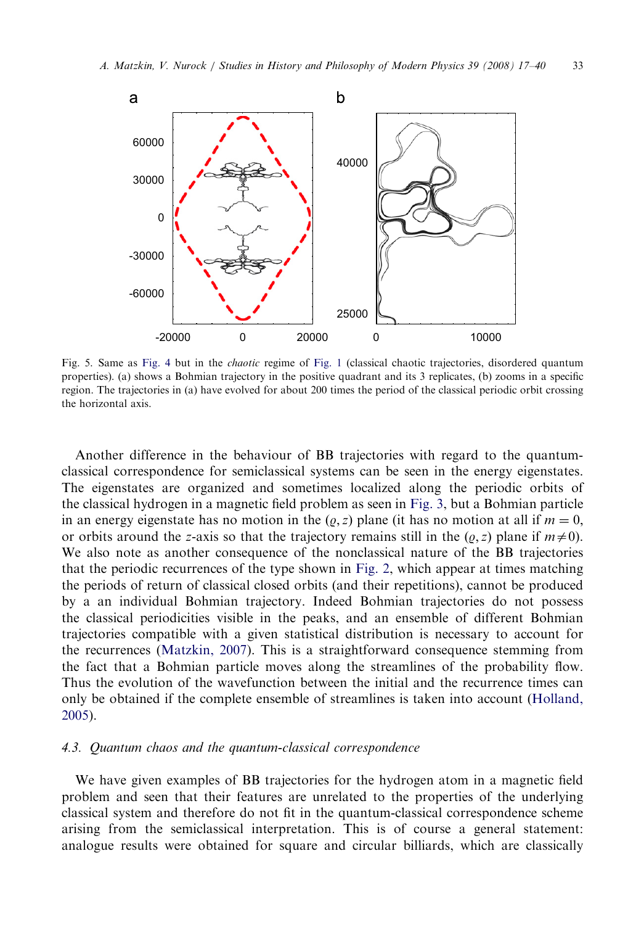<span id="page-16-0"></span>

Fig. 5. Same as [Fig. 4](#page-15-0) but in the chaotic regime of [Fig. 1](#page-10-0) (classical chaotic trajectories, disordered quantum properties). (a) shows a Bohmian trajectory in the positive quadrant and its 3 replicates, (b) zooms in a specific region. The trajectories in (a) have evolved for about 200 times the period of the classical periodic orbit crossing the horizontal axis.

Another difference in the behaviour of BB trajectories with regard to the quantumclassical correspondence for semiclassical systems can be seen in the energy eigenstates. The eigenstates are organized and sometimes localized along the periodic orbits of the classical hydrogen in a magnetic field problem as seen in [Fig. 3](#page-11-0), but a Bohmian particle in an energy eigenstate has no motion in the  $(\rho, z)$  plane (it has no motion at all if  $m = 0$ ; or orbits around the z-axis so that the trajectory remains still in the  $(q, z)$  plane if  $m \neq 0$ ). We also note as another consequence of the nonclassical nature of the BB trajectories that the periodic recurrences of the type shown in [Fig. 2,](#page-11-0) which appear at times matching the periods of return of classical closed orbits (and their repetitions), cannot be produced by a an individual Bohmian trajectory. Indeed Bohmian trajectories do not possess the classical periodicities visible in the peaks, and an ensemble of different Bohmian trajectories compatible with a given statistical distribution is necessary to account for the recurrences [\(Matzkin, 2007\)](#page-23-0). This is a straightforward consequence stemming from the fact that a Bohmian particle moves along the streamlines of the probability flow. Thus the evolution of the wavefunction between the initial and the recurrence times can only be obtained if the complete ensemble of streamlines is taken into account ([Holland,](#page-23-0) [2005](#page-23-0)).

#### 4.3. Quantum chaos and the quantum-classical correspondence

We have given examples of BB trajectories for the hydrogen atom in a magnetic field problem and seen that their features are unrelated to the properties of the underlying classical system and therefore do not fit in the quantum-classical correspondence scheme arising from the semiclassical interpretation. This is of course a general statement: analogue results were obtained for square and circular billiards, which are classically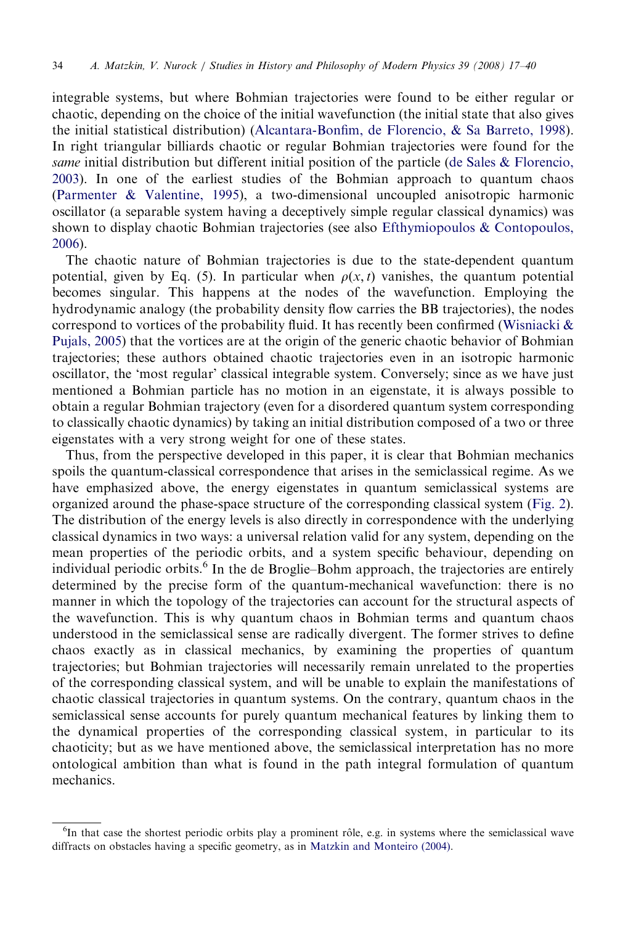integrable systems, but where Bohmian trajectories were found to be either regular or chaotic, depending on the choice of the initial wavefunction (the initial state that also gives the initial statistical distribution) ([Alcantara-Bonfim, de Florencio,](#page-22-0) & [Sa Barreto, 1998](#page-22-0)). In right triangular billiards chaotic or regular Bohmian trajectories were found for the same initial distribution but different initial position of the particle ([de Sales & Florencio,](#page-23-0) [2003](#page-23-0)). In one of the earliest studies of the Bohmian approach to quantum chaos ([Parmenter](#page-23-0) [& Valentine, 1995](#page-23-0)), a two-dimensional uncoupled anisotropic harmonic oscillator (a separable system having a deceptively simple regular classical dynamics) was shown to display chaotic Bohmian trajectories (see also [Efthymiopoulos](#page-22-0) & [Contopoulos,](#page-22-0) [2006](#page-22-0)).

The chaotic nature of Bohmian trajectories is due to the state-dependent quantum potential, given by Eq. (5). In particular when  $\rho(x, t)$  vanishes, the quantum potential becomes singular. This happens at the nodes of the wavefunction. Employing the hydrodynamic analogy (the probability density flow carries the BB trajectories), the nodes correspond to vortices of the probability fluid. It has recently been confirmed (Wisniacki  $\&$ [Pujals, 2005\)](#page-23-0) that the vortices are at the origin of the generic chaotic behavior of Bohmian trajectories; these authors obtained chaotic trajectories even in an isotropic harmonic oscillator, the 'most regular' classical integrable system. Conversely; since as we have just mentioned a Bohmian particle has no motion in an eigenstate, it is always possible to obtain a regular Bohmian trajectory (even for a disordered quantum system corresponding to classically chaotic dynamics) by taking an initial distribution composed of a two or three eigenstates with a very strong weight for one of these states.

Thus, from the perspective developed in this paper, it is clear that Bohmian mechanics spoils the quantum-classical correspondence that arises in the semiclassical regime. As we have emphasized above, the energy eigenstates in quantum semiclassical systems are organized around the phase-space structure of the corresponding classical system [\(Fig. 2](#page-11-0)). The distribution of the energy levels is also directly in correspondence with the underlying classical dynamics in two ways: a universal relation valid for any system, depending on the mean properties of the periodic orbits, and a system specific behaviour, depending on individual periodic orbits.<sup>6</sup> In the de Broglie–Bohm approach, the trajectories are entirely determined by the precise form of the quantum-mechanical wavefunction: there is no manner in which the topology of the trajectories can account for the structural aspects of the wavefunction. This is why quantum chaos in Bohmian terms and quantum chaos understood in the semiclassical sense are radically divergent. The former strives to define chaos exactly as in classical mechanics, by examining the properties of quantum trajectories; but Bohmian trajectories will necessarily remain unrelated to the properties of the corresponding classical system, and will be unable to explain the manifestations of chaotic classical trajectories in quantum systems. On the contrary, quantum chaos in the semiclassical sense accounts for purely quantum mechanical features by linking them to the dynamical properties of the corresponding classical system, in particular to its chaoticity; but as we have mentioned above, the semiclassical interpretation has no more ontological ambition than what is found in the path integral formulation of quantum mechanics.

<sup>&</sup>lt;sup>6</sup>In that case the shortest periodic orbits play a prominent rôle, e.g. in systems where the semiclassical wave diffracts on obstacles having a specific geometry, as in [Matzkin and Monteiro \(2004\)](#page-23-0).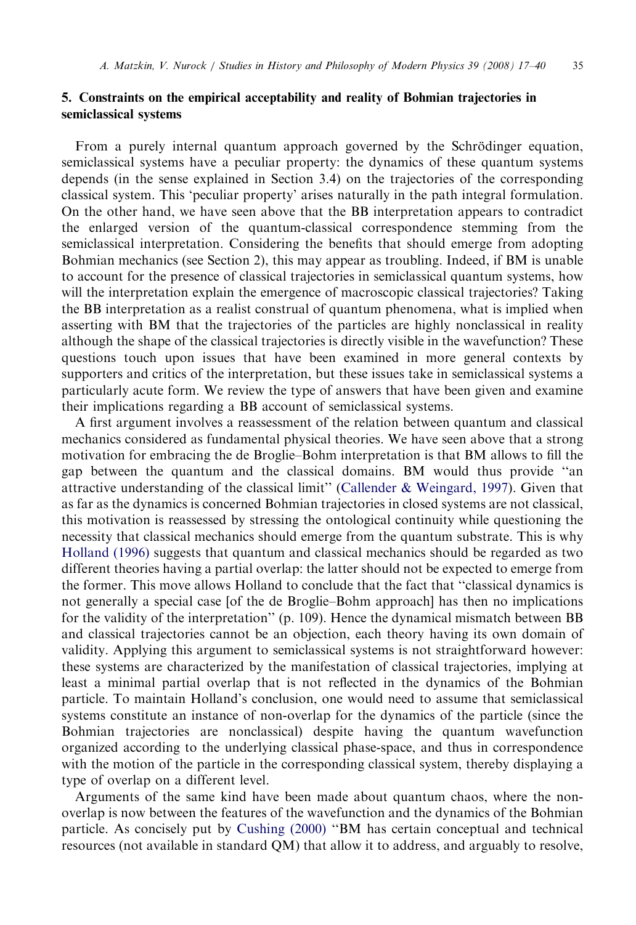## 5. Constraints on the empirical acceptability and reality of Bohmian trajectories in semiclassical systems

From a purely internal quantum approach governed by the Schrödinger equation, semiclassical systems have a peculiar property: the dynamics of these quantum systems depends (in the sense explained in Section 3.4) on the trajectories of the corresponding classical system. This 'peculiar property' arises naturally in the path integral formulation. On the other hand, we have seen above that the BB interpretation appears to contradict the enlarged version of the quantum-classical correspondence stemming from the semiclassical interpretation. Considering the benefits that should emerge from adopting Bohmian mechanics (see Section 2), this may appear as troubling. Indeed, if BM is unable to account for the presence of classical trajectories in semiclassical quantum systems, how will the interpretation explain the emergence of macroscopic classical trajectories? Taking the BB interpretation as a realist construal of quantum phenomena, what is implied when asserting with BM that the trajectories of the particles are highly nonclassical in reality although the shape of the classical trajectories is directly visible in the wavefunction? These questions touch upon issues that have been examined in more general contexts by supporters and critics of the interpretation, but these issues take in semiclassical systems a particularly acute form. We review the type of answers that have been given and examine their implications regarding a BB account of semiclassical systems.

A first argument involves a reassessment of the relation between quantum and classical mechanics considered as fundamental physical theories. We have seen above that a strong motivation for embracing the de Broglie–Bohm interpretation is that BM allows to fill the gap between the quantum and the classical domains. BM would thus provide ''an attractive understanding of the classical limit'' ([Callender](#page-22-0) [& Weingard, 1997\)](#page-22-0). Given that as far as the dynamics is concerned Bohmian trajectories in closed systems are not classical, this motivation is reassessed by stressing the ontological continuity while questioning the necessity that classical mechanics should emerge from the quantum substrate. This is why [Holland \(1996\)](#page-23-0) suggests that quantum and classical mechanics should be regarded as two different theories having a partial overlap: the latter should not be expected to emerge from the former. This move allows Holland to conclude that the fact that ''classical dynamics is not generally a special case [of the de Broglie–Bohm approach] has then no implications for the validity of the interpretation'' (p. 109). Hence the dynamical mismatch between BB and classical trajectories cannot be an objection, each theory having its own domain of validity. Applying this argument to semiclassical systems is not straightforward however: these systems are characterized by the manifestation of classical trajectories, implying at least a minimal partial overlap that is not reflected in the dynamics of the Bohmian particle. To maintain Holland's conclusion, one would need to assume that semiclassical systems constitute an instance of non-overlap for the dynamics of the particle (since the Bohmian trajectories are nonclassical) despite having the quantum wavefunction organized according to the underlying classical phase-space, and thus in correspondence with the motion of the particle in the corresponding classical system, thereby displaying a type of overlap on a different level.

Arguments of the same kind have been made about quantum chaos, where the nonoverlap is now between the features of the wavefunction and the dynamics of the Bohmian particle. As concisely put by [Cushing \(2000\)](#page-22-0) ''BM has certain conceptual and technical resources (not available in standard QM) that allow it to address, and arguably to resolve,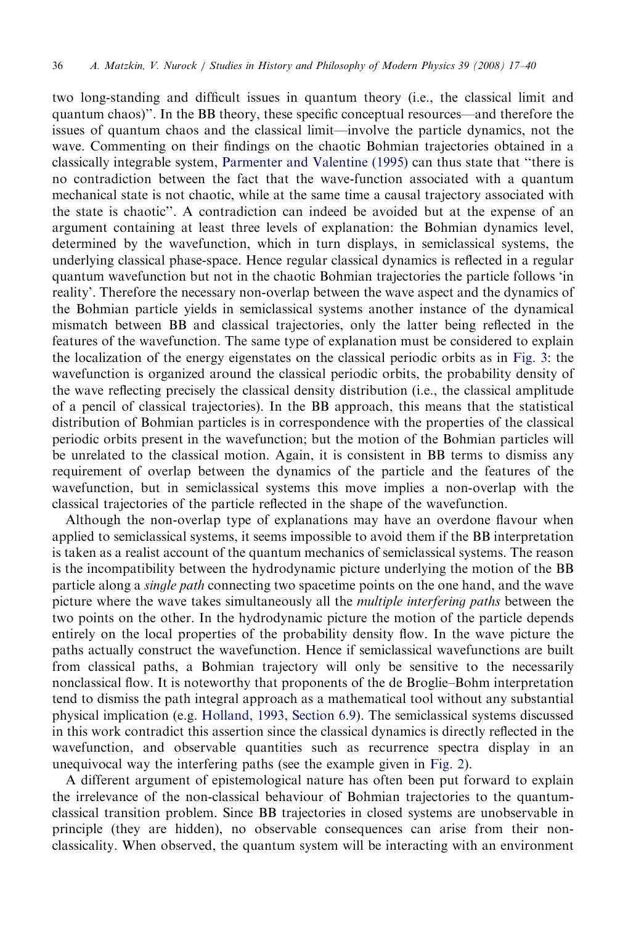two long-standing and difficult issues in quantum theory (i.e., the classical limit and quantum chaos)''. In the BB theory, these specific conceptual resources—and therefore the issues of quantum chaos and the classical limit—involve the particle dynamics, not the wave. Commenting on their findings on the chaotic Bohmian trajectories obtained in a classically integrable system, [Parmenter and Valentine \(1995\)](#page-23-0) can thus state that ''there is no contradiction between the fact that the wave-function associated with a quantum mechanical state is not chaotic, while at the same time a causal trajectory associated with the state is chaotic''. A contradiction can indeed be avoided but at the expense of an argument containing at least three levels of explanation: the Bohmian dynamics level, determined by the wavefunction, which in turn displays, in semiclassical systems, the underlying classical phase-space. Hence regular classical dynamics is reflected in a regular quantum wavefunction but not in the chaotic Bohmian trajectories the particle follows 'in reality'. Therefore the necessary non-overlap between the wave aspect and the dynamics of the Bohmian particle yields in semiclassical systems another instance of the dynamical mismatch between BB and classical trajectories, only the latter being reflected in the features of the wavefunction. The same type of explanation must be considered to explain the localization of the energy eigenstates on the classical periodic orbits as in [Fig. 3:](#page-11-0) the wavefunction is organized around the classical periodic orbits, the probability density of the wave reflecting precisely the classical density distribution (i.e., the classical amplitude of a pencil of classical trajectories). In the BB approach, this means that the statistical distribution of Bohmian particles is in correspondence with the properties of the classical periodic orbits present in the wavefunction; but the motion of the Bohmian particles will be unrelated to the classical motion. Again, it is consistent in BB terms to dismiss any requirement of overlap between the dynamics of the particle and the features of the wavefunction, but in semiclassical systems this move implies a non-overlap with the classical trajectories of the particle reflected in the shape of the wavefunction.

Although the non-overlap type of explanations may have an overdone flavour when applied to semiclassical systems, it seems impossible to avoid them if the BB interpretation is taken as a realist account of the quantum mechanics of semiclassical systems. The reason is the incompatibility between the hydrodynamic picture underlying the motion of the BB particle along a single path connecting two spacetime points on the one hand, and the wave picture where the wave takes simultaneously all the multiple interfering paths between the two points on the other. In the hydrodynamic picture the motion of the particle depends entirely on the local properties of the probability density flow. In the wave picture the paths actually construct the wavefunction. Hence if semiclassical wavefunctions are built from classical paths, a Bohmian trajectory will only be sensitive to the necessarily nonclassical flow. It is noteworthy that proponents of the de Broglie–Bohm interpretation tend to dismiss the path integral approach as a mathematical tool without any substantial physical implication (e.g. [Holland, 1993, Section 6.9](#page-23-0)). The semiclassical systems discussed in this work contradict this assertion since the classical dynamics is directly reflected in the wavefunction, and observable quantities such as recurrence spectra display in an unequivocal way the interfering paths (see the example given in [Fig. 2\)](#page-11-0).

A different argument of epistemological nature has often been put forward to explain the irrelevance of the non-classical behaviour of Bohmian trajectories to the quantumclassical transition problem. Since BB trajectories in closed systems are unobservable in principle (they are hidden), no observable consequences can arise from their nonclassicality. When observed, the quantum system will be interacting with an environment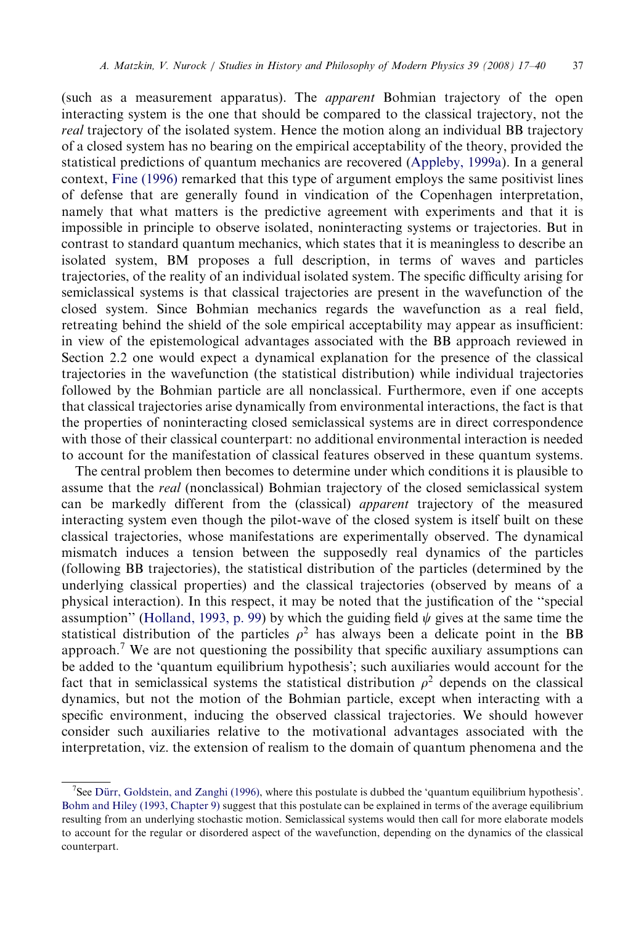(such as a measurement apparatus). The apparent Bohmian trajectory of the open interacting system is the one that should be compared to the classical trajectory, not the real trajectory of the isolated system. Hence the motion along an individual BB trajectory of a closed system has no bearing on the empirical acceptability of the theory, provided the statistical predictions of quantum mechanics are recovered [\(Appleby, 1999a](#page-22-0)). In a general context, [Fine \(1996\)](#page-22-0) remarked that this type of argument employs the same positivist lines of defense that are generally found in vindication of the Copenhagen interpretation, namely that what matters is the predictive agreement with experiments and that it is impossible in principle to observe isolated, noninteracting systems or trajectories. But in contrast to standard quantum mechanics, which states that it is meaningless to describe an isolated system, BM proposes a full description, in terms of waves and particles trajectories, of the reality of an individual isolated system. The specific difficulty arising for semiclassical systems is that classical trajectories are present in the wavefunction of the closed system. Since Bohmian mechanics regards the wavefunction as a real field, retreating behind the shield of the sole empirical acceptability may appear as insufficient: in view of the epistemological advantages associated with the BB approach reviewed in Section 2.2 one would expect a dynamical explanation for the presence of the classical trajectories in the wavefunction (the statistical distribution) while individual trajectories followed by the Bohmian particle are all nonclassical. Furthermore, even if one accepts that classical trajectories arise dynamically from environmental interactions, the fact is that the properties of noninteracting closed semiclassical systems are in direct correspondence with those of their classical counterpart: no additional environmental interaction is needed to account for the manifestation of classical features observed in these quantum systems.

The central problem then becomes to determine under which conditions it is plausible to assume that the *real* (nonclassical) Bohmian trajectory of the closed semiclassical system can be markedly different from the (classical) apparent trajectory of the measured interacting system even though the pilot-wave of the closed system is itself built on these classical trajectories, whose manifestations are experimentally observed. The dynamical mismatch induces a tension between the supposedly real dynamics of the particles (following BB trajectories), the statistical distribution of the particles (determined by the underlying classical properties) and the classical trajectories (observed by means of a physical interaction). In this respect, it may be noted that the justification of the ''special assumption'' ([Holland, 1993, p. 99\)](#page-23-0) by which the guiding field  $\psi$  gives at the same time the statistical distribution of the particles  $\rho^2$  has always been a delicate point in the BB approach.<sup>7</sup> We are not questioning the possibility that specific auxiliary assumptions can be added to the 'quantum equilibrium hypothesis'; such auxiliaries would account for the fact that in semiclassical systems the statistical distribution  $\rho^2$  depends on the classical dynamics, but not the motion of the Bohmian particle, except when interacting with a specific environment, inducing the observed classical trajectories. We should however consider such auxiliaries relative to the motivational advantages associated with the interpretation, viz. the extension of realism to the domain of quantum phenomena and the

<sup>&</sup>lt;sup>7</sup>See Dürr, Goldstein, and Zanghi (1996), where this postulate is dubbed the 'quantum equilibrium hypothesis'. [Bohm and Hiley \(1993, Chapter 9\)](#page-22-0) suggest that this postulate can be explained in terms of the average equilibrium resulting from an underlying stochastic motion. Semiclassical systems would then call for more elaborate models to account for the regular or disordered aspect of the wavefunction, depending on the dynamics of the classical counterpart.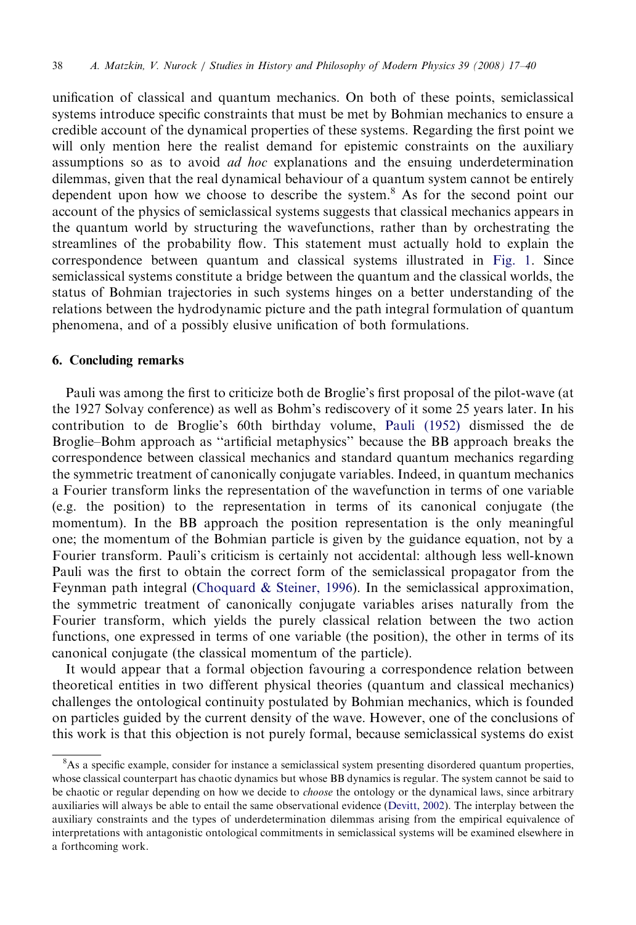unification of classical and quantum mechanics. On both of these points, semiclassical systems introduce specific constraints that must be met by Bohmian mechanics to ensure a credible account of the dynamical properties of these systems. Regarding the first point we will only mention here the realist demand for epistemic constraints on the auxiliary assumptions so as to avoid ad hoc explanations and the ensuing underdetermination dilemmas, given that the real dynamical behaviour of a quantum system cannot be entirely dependent upon how we choose to describe the system.<sup>8</sup> As for the second point our account of the physics of semiclassical systems suggests that classical mechanics appears in the quantum world by structuring the wavefunctions, rather than by orchestrating the streamlines of the probability flow. This statement must actually hold to explain the correspondence between quantum and classical systems illustrated in [Fig. 1.](#page-10-0) Since semiclassical systems constitute a bridge between the quantum and the classical worlds, the status of Bohmian trajectories in such systems hinges on a better understanding of the relations between the hydrodynamic picture and the path integral formulation of quantum phenomena, and of a possibly elusive unification of both formulations.

## 6. Concluding remarks

Pauli was among the first to criticize both de Broglie's first proposal of the pilot-wave (at the 1927 Solvay conference) as well as Bohm's rediscovery of it some 25 years later. In his contribution to de Broglie's 60th birthday volume, [Pauli \(1952\)](#page-23-0) dismissed the de Broglie–Bohm approach as ''artificial metaphysics'' because the BB approach breaks the correspondence between classical mechanics and standard quantum mechanics regarding the symmetric treatment of canonically conjugate variables. Indeed, in quantum mechanics a Fourier transform links the representation of the wavefunction in terms of one variable (e.g. the position) to the representation in terms of its canonical conjugate (the momentum). In the BB approach the position representation is the only meaningful one; the momentum of the Bohmian particle is given by the guidance equation, not by a Fourier transform. Pauli's criticism is certainly not accidental: although less well-known Pauli was the first to obtain the correct form of the semiclassical propagator from the Feynman path integral ([Choquard](#page-22-0) & [Steiner, 1996](#page-22-0)). In the semiclassical approximation, the symmetric treatment of canonically conjugate variables arises naturally from the Fourier transform, which yields the purely classical relation between the two action functions, one expressed in terms of one variable (the position), the other in terms of its canonical conjugate (the classical momentum of the particle).

It would appear that a formal objection favouring a correspondence relation between theoretical entities in two different physical theories (quantum and classical mechanics) challenges the ontological continuity postulated by Bohmian mechanics, which is founded on particles guided by the current density of the wave. However, one of the conclusions of this work is that this objection is not purely formal, because semiclassical systems do exist

<sup>&</sup>lt;sup>8</sup>As a specific example, consider for instance a semiclassical system presenting disordered quantum properties, whose classical counterpart has chaotic dynamics but whose BB dynamics is regular. The system cannot be said to be chaotic or regular depending on how we decide to choose the ontology or the dynamical laws, since arbitrary auxiliaries will always be able to entail the same observational evidence [\(Devitt, 2002](#page-22-0)). The interplay between the auxiliary constraints and the types of underdetermination dilemmas arising from the empirical equivalence of interpretations with antagonistic ontological commitments in semiclassical systems will be examined elsewhere in a forthcoming work.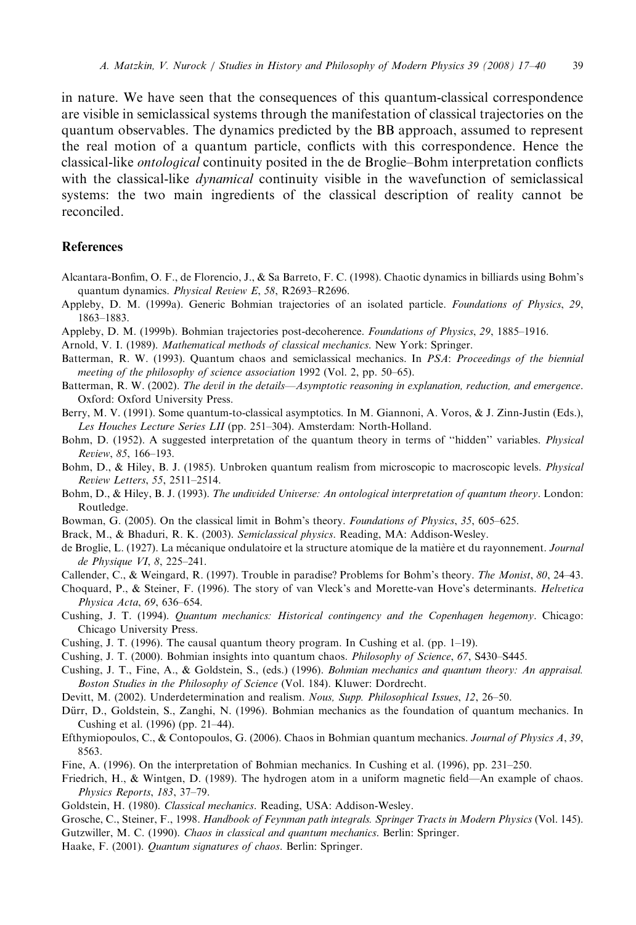<span id="page-22-0"></span>in nature. We have seen that the consequences of this quantum-classical correspondence are visible in semiclassical systems through the manifestation of classical trajectories on the quantum observables. The dynamics predicted by the BB approach, assumed to represent the real motion of a quantum particle, conflicts with this correspondence. Hence the classical-like ontological continuity posited in the de Broglie–Bohm interpretation conflicts with the classical-like *dynamical* continuity visible in the wavefunction of semiclassical systems: the two main ingredients of the classical description of reality cannot be reconciled.

## **References**

- Alcantara-Bonfim, O. F., de Florencio, J., & Sa Barreto, F. C. (1998). Chaotic dynamics in billiards using Bohm's quantum dynamics. Physical Review E, 58, R2693–R2696.
- Appleby, D. M. (1999a). Generic Bohmian trajectories of an isolated particle. Foundations of Physics, 29, 1863–1883.
- Appleby, D. M. (1999b). Bohmian trajectories post-decoherence. Foundations of Physics, 29, 1885–1916.
- Arnold, V. I. (1989). Mathematical methods of classical mechanics. New York: Springer.
- Batterman, R. W. (1993). Quantum chaos and semiclassical mechanics. In PSA: Proceedings of the biennial meeting of the philosophy of science association 1992 (Vol. 2, pp. 50–65).
- Batterman, R. W. (2002). The devil in the details—Asymptotic reasoning in explanation, reduction, and emergence. Oxford: Oxford University Press.
- Berry, M. V. (1991). Some quantum-to-classical asymptotics. In M. Giannoni, A. Voros, & J. Zinn-Justin (Eds.), Les Houches Lecture Series LII (pp. 251-304). Amsterdam: North-Holland.
- Bohm, D. (1952). A suggested interpretation of the quantum theory in terms of ''hidden'' variables. Physical Review, 85, 166–193.
- Bohm, D., & Hiley, B. J. (1985). Unbroken quantum realism from microscopic to macroscopic levels. *Physical* Review Letters, 55, 2511–2514.
- Bohm, D., & Hiley, B. J. (1993). The undivided Universe: An ontological interpretation of quantum theory. London: Routledge.
- Bowman, G. (2005). On the classical limit in Bohm's theory. Foundations of Physics, 35, 605–625.
- Brack, M., & Bhaduri, R. K. (2003). Semiclassical physics. Reading, MA: Addison-Wesley.
- de Broglie, L. (1927). La mécanique ondulatoire et la structure atomique de la matière et du rayonnement. Journal de Physique VI, 8, 225–241.
- Callender, C., & Weingard, R. (1997). Trouble in paradise? Problems for Bohm's theory. The Monist, 80, 24–43.
- Choquard, P., & Steiner, F. (1996). The story of van Vleck's and Morette-van Hove's determinants. Helvetica Physica Acta, 69, 636–654.
- Cushing, J. T. (1994). Quantum mechanics: Historical contingency and the Copenhagen hegemony. Chicago: Chicago University Press.
- Cushing, J. T. (1996). The causal quantum theory program. In Cushing et al. (pp. 1–19).
- Cushing, J. T. (2000). Bohmian insights into quantum chaos. Philosophy of Science, 67, S430–S445.
- Cushing, J. T., Fine, A., & Goldstein, S., (eds.) (1996). Bohmian mechanics and quantum theory: An appraisal. Boston Studies in the Philosophy of Science (Vol. 184). Kluwer: Dordrecht.
- Devitt, M. (2002). Underdetermination and realism. Nous, Supp. Philosophical Issues, 12, 26–50.
- Dürr, D., Goldstein, S., Zanghi, N. (1996). Bohmian mechanics as the foundation of quantum mechanics. In Cushing et al. (1996) (pp. 21–44).
- Efthymiopoulos, C., & Contopoulos, G. (2006). Chaos in Bohmian quantum mechanics. Journal of Physics A, 39, 8563.
- Fine, A. (1996). On the interpretation of Bohmian mechanics. In Cushing et al. (1996), pp. 231–250.
- Friedrich, H., & Wintgen, D. (1989). The hydrogen atom in a uniform magnetic field—An example of chaos. Physics Reports, 183, 37–79.
- Goldstein, H. (1980). Classical mechanics. Reading, USA: Addison-Wesley.
- Grosche, C., Steiner, F., 1998. Handbook of Feynman path integrals. Springer Tracts in Modern Physics (Vol. 145).
- Gutzwiller, M. C. (1990). *Chaos in classical and quantum mechanics*. Berlin: Springer.
- Haake, F. (2001). Quantum signatures of chaos. Berlin: Springer.